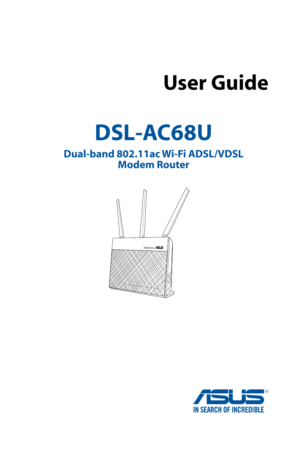# **User Guide**

# **DSL-AC68U**

## **Dual-band 802.11ac Wi-Fi ADSL/VDSL Modem Router**



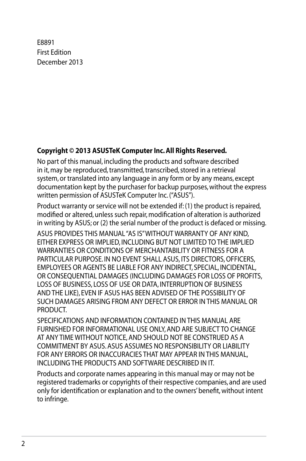E8891 First Edition December 2013

#### **Copyright © 2013 ASUSTeK Computer Inc. All Rights Reserved.**

No part of this manual, including the products and software described in it, may be reproduced, transmitted, transcribed, stored in a retrieval system, or translated into any language in any form or by any means, except documentation kept by the purchaser for backup purposes, without the express written permission of ASUSTeK Computer Inc. ("ASUS").

Product warranty or service will not be extended if: (1) the product is repaired, modified or altered, unless such repair, modification of alteration is authorized in writing by ASUS; or (2) the serial number of the product is defaced or missing.

ASUS PROVIDES THIS MANUAL "AS IS" WITHOUT WARRANTY OF ANY KIND, EITHER EXPRESS OR IMPLIED, INCLUDING BUT NOT LIMITED TO THE IMPLIED WARRANTIES OR CONDITIONS OF MERCHANTABILITY OR FITNESS FOR A PARTICULAR PURPOSE. IN NO EVENT SHALL ASUS, ITS DIRECTORS, OFFICERS, EMPLOYEES OR AGENTS BE LIABLE FOR ANY INDIRECT, SPECIAL, INCIDENTAL, OR CONSEQUENTIAL DAMAGES (INCLUDING DAMAGES FOR LOSS OF PROFITS, LOSS OF BUSINESS, LOSS OF USE OR DATA, INTERRUPTION OF BUSINESS AND THE LIKE), EVEN IF ASUS HAS BEEN ADVISED OF THE POSSIBILITY OF SUCH DAMAGES ARISING FROM ANY DEFECT OR ERROR IN THIS MANUAL OR PRODUCT.

SPECIFICATIONS AND INFORMATION CONTAINED IN THIS MANUAL ARE FURNISHED FOR INFORMATIONAL USE ONLY, AND ARE SUBJECT TO CHANGE AT ANY TIME WITHOUT NOTICE, AND SHOULD NOT BE CONSTRUED AS A COMMITMENT BY ASUS. ASUS ASSUMES NO RESPONSIBILITY OR LIABILITY FOR ANY ERRORS OR INACCURACIES THAT MAY APPEAR IN THIS MANUAL, INCLUDING THE PRODUCTS AND SOFTWARE DESCRIBED IN IT.

Products and corporate names appearing in this manual may or may not be registered trademarks or copyrights of their respective companies, and are used only for identification or explanation and to the owners' benefit, without intent to infringe.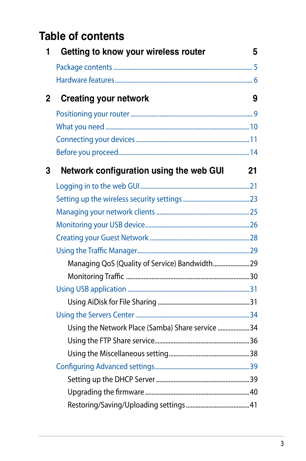# **Table of contents**

| 1            | Getting to know your wireless router              | 5  |
|--------------|---------------------------------------------------|----|
|              |                                                   |    |
|              |                                                   |    |
| $\mathbf{2}$ | <b>Creating your network</b>                      | 9  |
|              |                                                   |    |
|              |                                                   |    |
|              |                                                   |    |
|              |                                                   |    |
| 3            | Network configuration using the web GUI           | 21 |
|              |                                                   |    |
|              |                                                   |    |
|              |                                                   |    |
|              |                                                   |    |
|              |                                                   |    |
|              |                                                   |    |
|              | Managing QoS (Quality of Service) Bandwidth 29    |    |
|              |                                                   |    |
|              |                                                   |    |
|              |                                                   |    |
|              |                                                   |    |
|              | Using the Network Place (Samba) Share service  34 |    |
|              |                                                   |    |
|              |                                                   |    |
|              |                                                   |    |
|              |                                                   |    |
|              |                                                   |    |
|              |                                                   |    |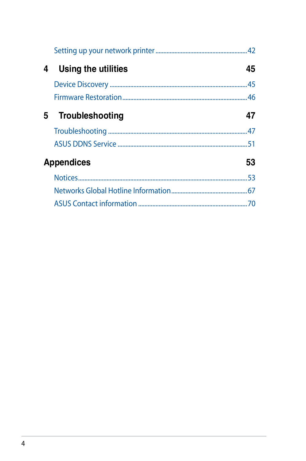| 4 | Using the utilities | 45 |
|---|---------------------|----|
|   |                     |    |
|   |                     |    |
|   | 5 Troubleshooting   | 47 |
|   |                     |    |
|   |                     |    |
|   | <b>Appendices</b>   | 53 |
|   |                     |    |
|   |                     |    |
|   |                     |    |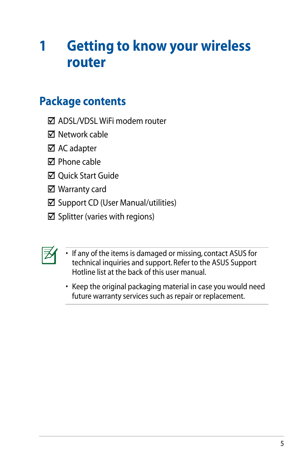# <span id="page-4-0"></span>**1 Getting to know your wireless router**

# **Package contents**

- **M** ADSL/VDSL WiFi modem router
- **☑** Network cable
- **☑** AC adapter
- Phone cable
- **☑** Ouick Start Guide
- Warranty card
- $\boxtimes$  Support CD (User Manual/utilities)
- $\boxtimes$  Splitter (varies with regions)



- If any of the items is damaged or missing, contact ASUS for technical inquiries and support. Refer to the ASUS Support Hotline list at the back of this user manual.
- Keep the original packaging material in case you would need future warranty services such as repair or replacement.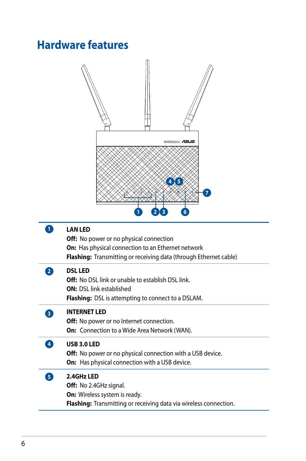# <span id="page-5-0"></span>**Hardware features**

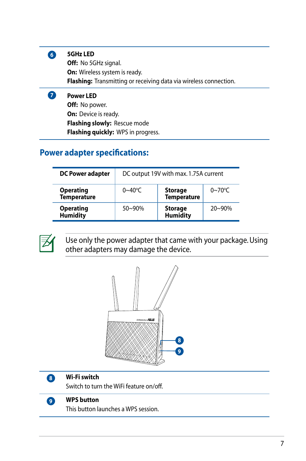

**7**

#### **5GHz LED**

**Off:** No 5GHz signal. **On:** Wireless system is ready. **Flashing:** Transmitting or receiving data via wireless connection.

#### **Power LED**

**Off:** No power. **On:** Device is ready. **Flashing slowly:** Rescue mode **Flashing quickly:** WPS in progress.

### **Power adapter specifications:**

| <b>DC Power adapter</b>                | DC output 19V with max. 1.75A current |                                      |             |
|----------------------------------------|---------------------------------------|--------------------------------------|-------------|
| <b>Operating</b><br><b>Temperature</b> | $0 - 40$ °C                           | <b>Storage</b><br><b>Temperature</b> | $0 - 70$ °C |
| <b>Operating</b><br><b>Humidity</b>    | $50 - 90%$                            | <b>Storage</b><br><b>Humidity</b>    | $20 - 90%$  |



Use only the power adapter that came with your package. Using other adapters may damage the device.





#### **Wi-Fi switch**

Switch to turn the WiFi feature on/off.



#### **WPS button**

This button launches a WPS session.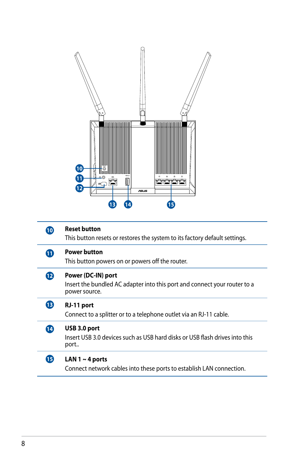|            | $\boldsymbol{\Phi}$<br>$\bf \Phi$<br>÷õË<br>eeee<br>I<br>®<br>/sus<br>15<br>.14<br>13                            |
|------------|------------------------------------------------------------------------------------------------------------------|
| $\bf \Phi$ | <b>Reset button</b><br>This button resets or restores the system to its factory default settings.                |
| ⊕          | <b>Power button</b><br>This button powers on or powers off the router.                                           |
| $\bf{D}$   | Power (DC-IN) port<br>Insert the bundled AC adapter into this port and connect your router to a<br>power source. |
| ®          | RJ-11 port<br>Connect to a splitter or to a telephone outlet via an RJ-11 cable.                                 |
| ◐          | USB 3.0 port<br>Insert USB 3.0 devices such as USB hard disks or USB flash drives into this<br>port              |
| ß          | LAN 1 $\sim$ 4 ports<br>Connect network cables into these ports to establish LAN connection.                     |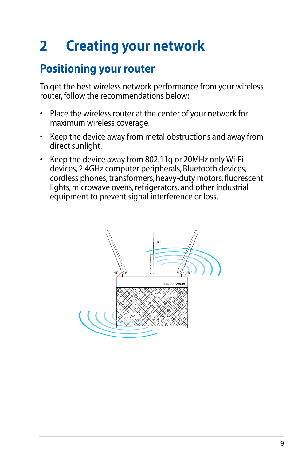# <span id="page-8-0"></span>**2 Creating your network**

# **Positioning your router**

To get the best wireless network performance from your wireless router, follow the recommendations below:

- Place the wireless router at the center of your network for maximum wireless coverage.
- Keep the device away from metal obstructions and away from direct sunlight.
- Keep the device away from 802.11g or 20MHz only Wi-Fi devices, 2.4GHz computer peripherals, Bluetooth devices, cordless phones, transformers, heavy-duty motors, fluorescent lights, microwave ovens, refrigerators, and other industrial equipment to prevent signal interference or loss.

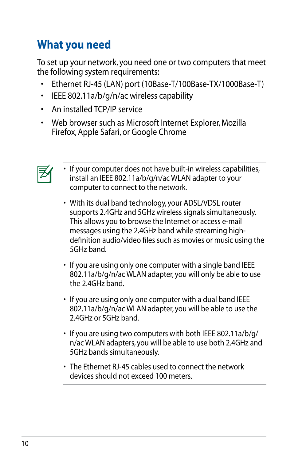# <span id="page-9-0"></span>**What you need**

To set up your network, you need one or two computers that meet the following system requirements:

- Ethernet RJ-45 (LAN) port (10Base-T/100Base-TX/1000Base-T)
- IEEE 802.11a/b/g/n/ac wireless capability
- An installed TCP/IP service
- Web browser such as Microsoft Internet Explorer, Mozilla Firefox, Apple Safari, or Google Chrome



- If your computer does not have built-in wireless capabilities, install an IEEE 802.11a/b/g/n/ac WLAN adapter to your computer to connect to the network.
- With its dual band technology, your ADSL/VDSL router supports 2.4GHz and 5GHz wireless signals simultaneously. This allows you to browse the Internet or access e-mail messages using the 2.4GHz band while streaming highdefinition audio/video files such as movies or music using the 5GHz band.
- If you are using only one computer with a single band IEEE 802.11a/b/g/n/ac WLAN adapter, you will only be able to use the 2.4GHz band.
- If you are using only one computer with a dual band IEEE 802.11a/b/g/n/ac WLAN adapter, you will be able to use the 2.4GHz or 5GHz band.
- If you are using two computers with both IEEE 802.11a/b/g/ n/ac WLAN adapters, you will be able to use both 2.4GHz and 5GHz bands simultaneously.
- The Ethernet RJ-45 cables used to connect the network devices should not exceed 100 meters.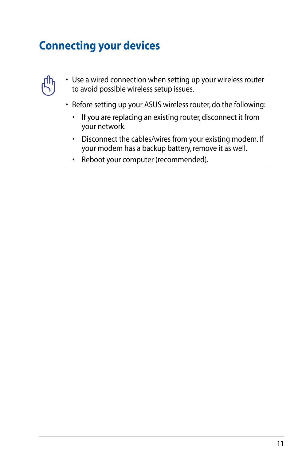# <span id="page-10-0"></span>**Connecting your devices**



• Use a wired connection when setting up your wireless router to avoid possible wireless setup issues.

- Before setting up your ASUS wireless router, do the following:
	- If you are replacing an existing router, disconnect it from your network.
	- Disconnect the cables/wires from your existing modem. If your modem has a backup battery, remove it as well.
	- Reboot your computer (recommended).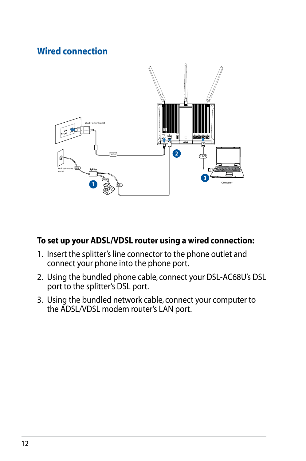## **Wired connection**



### **To set up your ADSL/VDSL router using a wired connection:**

- 1. Insert the splitter's line connector to the phone outlet and connect your phone into the phone port.
- 2. Using the bundled phone cable, connect your DSL-AC68U's DSL port to the splitter's DSL port.
- 3. Using the bundled network cable, connect your computer to the ADSL/VDSL modem router's LAN port.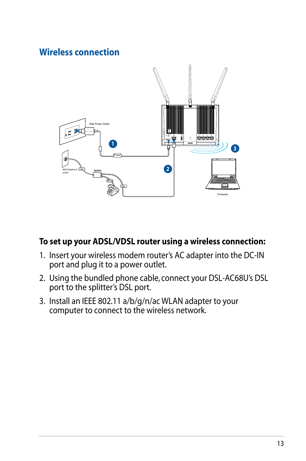## **Wireless connection**



### **To set up your ADSL/VDSL router using a wireless connection:**

- 1. Insert your wireless modem router's AC adapter into the DC-IN port and plug it to a power outlet.
- 2. Using the bundled phone cable, connect your DSL-AC68U's DSL port to the splitter's DSL port.
- 3. Install an IEEE 802.11 a/b/g/n/ac WLAN adapter to your computer to connect to the wireless network.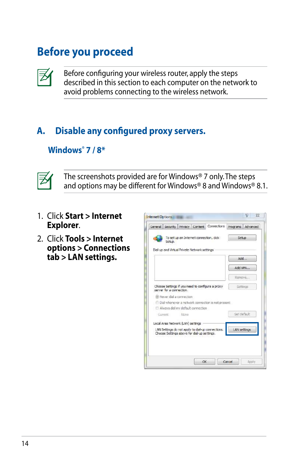# <span id="page-13-0"></span>**Before you proceed**



Before configuring your wireless router, apply the steps described in this section to each computer on the network to avoid problems connecting to the wireless network.

# **A. Disable any configured proxy servers.**

## **Windows® 7 / 8\***



The screenshots provided are for Windows® 7 only. The steps and options may be different for Windows® 8 and Windows® 8.1.

- 1. Click **Start > Internet Explorer**.
- 2. Click **Tools > Internet options > Connections tab > LAN settings.**

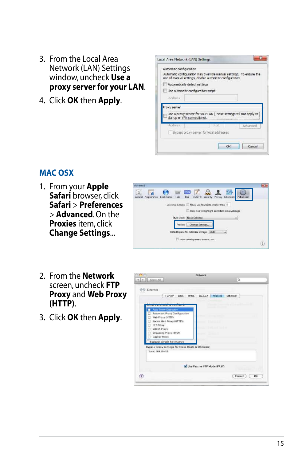- 3. From the Local Area Network (LAN) Settings window, uncheck **Use a proxy server for your LAN**.
- 4. Click **OK** then **Apply**.

| Automatic configuration            |                               | use of manual settings, dsable automatic configuration. | Automatic configuration may override manual settings. To ensure the              |
|------------------------------------|-------------------------------|---------------------------------------------------------|----------------------------------------------------------------------------------|
|                                    | Automotically detect settings |                                                         |                                                                                  |
| Use automatic configuration script |                               |                                                         |                                                                                  |
| Ackless                            |                               |                                                         |                                                                                  |
| Proxy server                       |                               |                                                         |                                                                                  |
|                                    | cial-up or VPN connections).  |                                                         |                                                                                  |
| Acidress:                          |                               | Paris                                                   | Use a proxy server for your LAN (These settings will not apply to !<br>Arlyanced |
|                                    |                               | Bypass proxy server for local addresses.                |                                                                                  |

### **MAC OSX**

1. From your **Apple Safari** browser, click **Safari** > **Preferences** > **Advanced**. On the **Proxies** item, click **Change Settings**...



- 2. From the **Network** screen, uncheck **FTP Proxy** and **Web Proxy (HTTP)**.
- 3. Click **OK** then **Apply**.

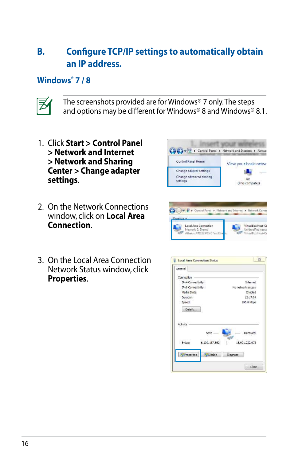# **B. Configure TCP/IP settings to automatically obtain an IP address.**

## **Windows® 7 / 8**



The screenshots provided are for Windows® 7 only. The steps and options may be different for Windows® 8 and Windows® 8.1.

- 1. Click **Start > Control Panel > Network and Internet > Network and Sharing Center > Change adapter settings**.
- 2. On the Network Connections window, click on **Local Area Connection**.
- 3. On the Local Area Connection Network Status window, click **Properties**.



| General            |               |                   |
|--------------------|---------------|-------------------|
| Connection         |               |                   |
| IPv4 Connectivity: |               | Internet          |
| IPv6 Cannectivity: |               | No network access |
| Media State:       |               | Enabled           |
| Duration:          |               | 12:17:04          |
| Speed:             |               | 100.0 Mbos        |
| Details            |               |                   |
| Activity           |               |                   |
|                    |               | Received          |
| Bytes:             | 6,109,137,562 | 15,991,232,073    |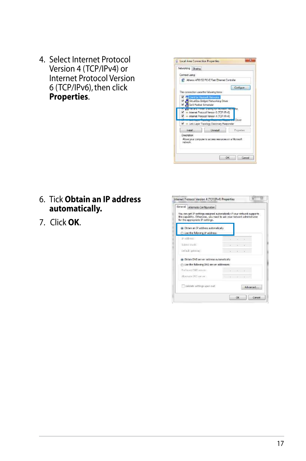4. Select Internet Protocol Version 4 (TCP/IPv4) or Internet Protocol Version 6 (TCP/IPv6), then click **Properties**.



### 6. Tick **Obtain an IP address automatically.**

7. Click **OK**.

| General Alternate Configuration<br>You can get IP settings assumed automatically if your network supports.<br>this capability. Otherwise, you need to ask your network administrator<br>for the appropriate IP settings. |  |                          |          |
|--------------------------------------------------------------------------------------------------------------------------------------------------------------------------------------------------------------------------|--|--------------------------|----------|
| @ Obtain an IP address automatically<br>Use the following DP address:                                                                                                                                                    |  |                          |          |
| IF address:                                                                                                                                                                                                              |  |                          |          |
| S cent mad.                                                                                                                                                                                                              |  |                          |          |
| Default asteviant                                                                                                                                                                                                        |  | The Story of the Control |          |
| ici Obtain DNS server address automatically                                                                                                                                                                              |  |                          |          |
| (f) Use the following DNS server addresses:                                                                                                                                                                              |  |                          |          |
| Preferred CAIS server:                                                                                                                                                                                                   |  |                          |          |
| Morrate DNS servers.                                                                                                                                                                                                     |  | $1 - i - i - i$          |          |
| Validate settings upon ealt                                                                                                                                                                                              |  |                          | Advanced |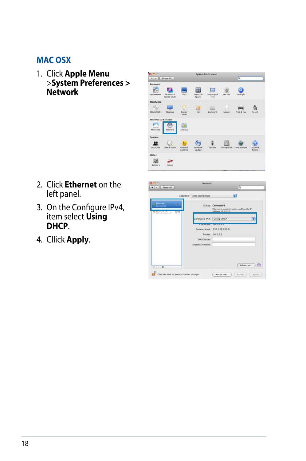### **MAC OSX**

1. Click **Apple Menu**  >**System Preferences > Network**



- 2. Click **Ethernet** on the left panel.
- 3. On the Configure IPv4, item select **Using DHCP**.
- 4. Cllick **Apply**.

| Location: zhel connection | P.                                                                                    |
|---------------------------|---------------------------------------------------------------------------------------|
|                           | Status: Connected<br>Dihomet to corrently active and has the IP.<br>address 10.0.2.15 |
|                           | e.                                                                                    |
| <b>PERMITTENS</b>         | <b>ELLEN FREE DIE</b>                                                                 |
|                           | Subnet Mask: 255.255.255.0                                                            |
|                           | Router: 10.0.2.2                                                                      |
| DNS Server                |                                                                                       |
| Search Damston:           |                                                                                       |
|                           | Advanced                                                                              |
|                           | Configure Pv4 Using DHCP                                                              |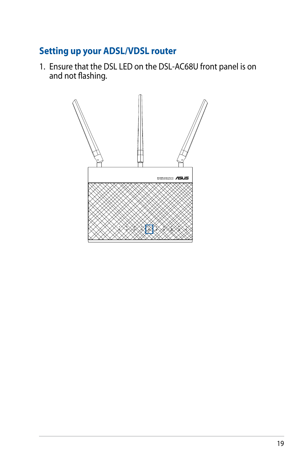# **Setting up your ADSL/VDSL router**

1. Ensure that the DSL LED on the DSL-AC68U front panel is on and not flashing.

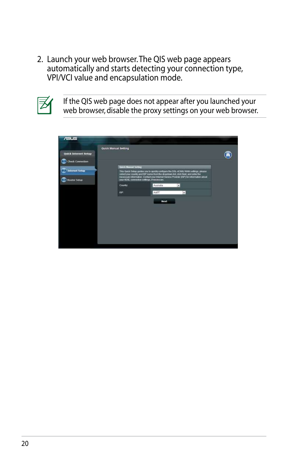2. Launch your web browser. The QIS web page appears automatically and starts detecting your connection type, VPI/VCI value and encapsulation mode.



If the QIS web page does not appear after you launched your web browser, disable the proxy settings on your web browser.

| $\overline{S}$                                  |                      |                                                                                                                                   |                                                                                                                                                                                |  |
|-------------------------------------------------|----------------------|-----------------------------------------------------------------------------------------------------------------------------------|--------------------------------------------------------------------------------------------------------------------------------------------------------------------------------|--|
| <b>Quick Internet Setup</b><br>Check Connection | Quick Manual Setting |                                                                                                                                   |                                                                                                                                                                                |  |
| 2 Internet Setup<br><b>B</b> Router Setup       | Quick Manual Setting | select your country and ISP name from the dropdown list, click Ned, and eater the<br>your ADGL connection neltings, if necessary. | This Quick Satus quicks you to quickly configure the DSL-AC68U WAN settings, please<br>necessary informator: Contact your triumet Service Provider (ISP) for information about |  |
|                                                 | Country.<br>ISP:     | Australia<br>AAPT                                                                                                                 | $\overline{\phantom{a}}$<br>$\star$                                                                                                                                            |  |
|                                                 |                      | Next                                                                                                                              |                                                                                                                                                                                |  |
|                                                 |                      |                                                                                                                                   |                                                                                                                                                                                |  |
|                                                 |                      |                                                                                                                                   |                                                                                                                                                                                |  |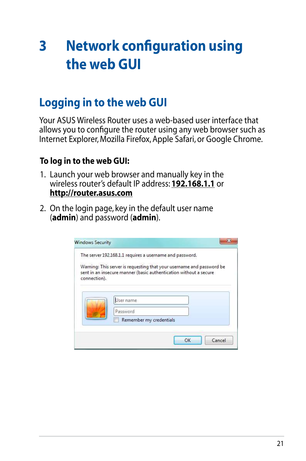# <span id="page-20-0"></span>**3 Network configuration using the web GUI**

# **Logging in to the web GUI**

Your ASUS Wireless Router uses a web-based user interface that allows you to configure the router using any web browser such as Internet Explorer, Mozilla Firefox, Apple Safari, or Google Chrome.

### **To log in to the web GUI:**

- 1. Launch your web browser and manually key in the wireless router's default IP address: **192.168.1.1** or **http://router.asus.com**
- 2. On the login page, key in the default user name (**admin**) and password (**admin**).

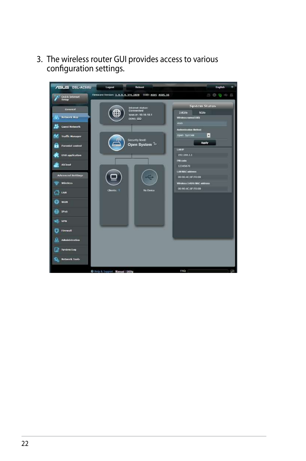3. The wireless router GUI provides access to various configuration settings.

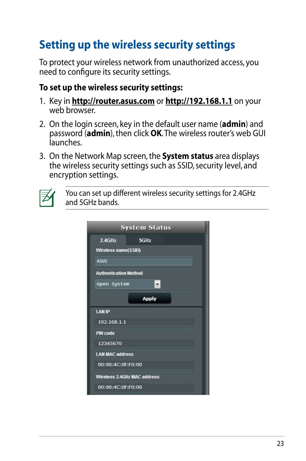# <span id="page-22-0"></span>**Setting up the wireless security settings**

To protect your wireless network from unauthorized access, you need to configure its security settings.

### **To set up the wireless security settings:**

- 1. Key in **http://router.asus.com** or **http://192.168.1.1** on your web browser.
- 2. On the login screen, key in the default user name (**admin**) and password (**admin**), then click **OK**. The wireless router's web GUI launches.
- 3. On the Network Map screen, the **System status** area displays the wireless security settings such as SSID, security level, and encryption settings.



You can set up different wireless security settings for 2.4GHz and 5GHz bands.

|                              | <b>System Status</b>        |
|------------------------------|-----------------------------|
| 2.4GHz                       | 5GHz                        |
| Wireless name(SSID)          |                             |
| <b>ASUS</b>                  |                             |
| <b>Authentication Method</b> |                             |
| Open System                  | $\overline{\phantom{0}}$    |
|                              | <b>Apply</b>                |
| <b>LAN IP</b>                |                             |
| 192.168.1.1                  |                             |
| <b>PIN code</b>              |                             |
| 12345670                     |                             |
| <b>LAN MAC address</b>       |                             |
| 00:90:4C:0F:F0:00            |                             |
|                              | Wireless 2.4GHz MAC address |
| 00:90:4C:0F:F0:00            |                             |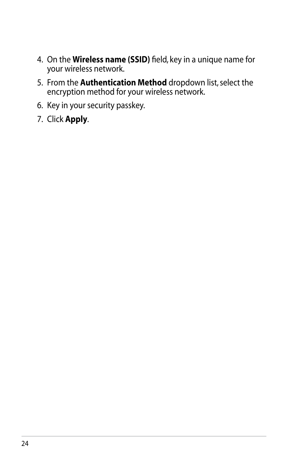- 4. On the **Wireless name (SSID)** field, key in a unique name for your wireless network.
- 5. From the **Authentication Method** dropdown list, select the encryption method for your wireless network.
- 6. Key in your security passkey.
- 7. Click **Apply**.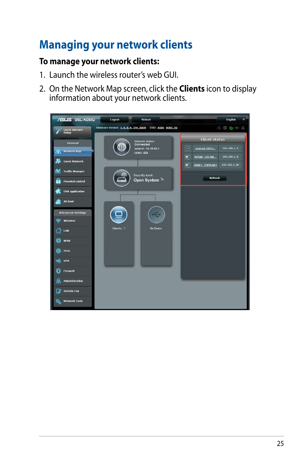# <span id="page-24-0"></span>**Managing your network clients**

## **To manage your network clients:**

- 1. Launch the wireless router's web GUI.
- 2. On the Network Map screen, click the **Clients** icon to display information about your network clients.

| <b>/ISLIS DSL-AC68U</b>     | Reboot<br>Logout                                       | English                                 |
|-----------------------------|--------------------------------------------------------|-----------------------------------------|
| Quick Internet<br>Setup     | Firmware Version: 3.0.0.4.374_1828  SSID: ASUS ASUS_56 | 6 6 6 6 2                               |
| General                     | Internet status:<br>Connected                          | <b>Client status</b>                    |
| <b>Network Map</b><br>άō    | WAN IP: 10.10.10.1<br><b>DONS: 00</b>                  | B<br>192, 161, 1, 2<br>android-20f2a    |
| <b>Guest Network</b>        |                                                        | 192.168.1.8<br>э<br><b>RENTE LEE-NO</b> |
| <b>Traffic Manager</b><br>۵ |                                                        | 192.163.1.30<br>ANNE1 CHEN-NB1<br>ш     |
| <b>Parental control</b>     | Security level:<br>Open System <sup>1</sup><br>m       | Refresh                                 |
| <b>USB</b> application      |                                                        |                                         |
| AiCloud                     |                                                        |                                         |
| <b>Advanced Settings</b>    |                                                        |                                         |
| Wireless                    |                                                        |                                         |
| LAN                         | <b>No Device</b><br>Chents: 1                          |                                         |
| <b>WAN</b><br>Œ.            |                                                        |                                         |
| IPv6                        |                                                        |                                         |
| <b>VPN</b><br>ò.            |                                                        |                                         |
| Firewall                    |                                                        |                                         |
| ₽<br><b>Administration</b>  |                                                        |                                         |
| П<br>System Log             |                                                        |                                         |
| 戛<br><b>Network Tools</b>   |                                                        |                                         |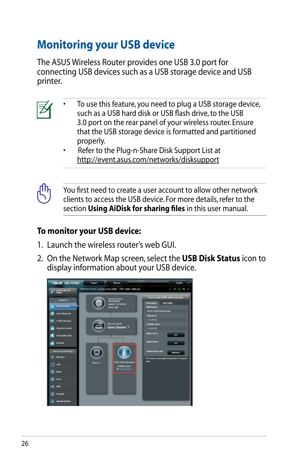# <span id="page-25-0"></span>**Monitoring your USB device**

The ASUS Wireless Router provides one USB 3.0 port for connecting USB devices such as a USB storage device and USB printer.

- To use this feature, you need to plug a USB storage device, such as a USB hard disk or USB flash drive, to the USB 3.0 port on the rear panel of your wireless router. Ensure that the USB storage device is formatted and partitioned properly.
	- Refer to the Plug-n-Share Disk Support List at http://event.asus.com/networks/disksupport



You first need to create a user account to allow other network clients to access the USB device. For more details, refer to the section **Using AiDisk for sharing files** in this user manual.

# **To monitor your USB device:**

- 1. Launch the wireless router's web GUI.
- 2. On the Network Map screen, select the **USB Disk Status** icon to display information about your USB device.

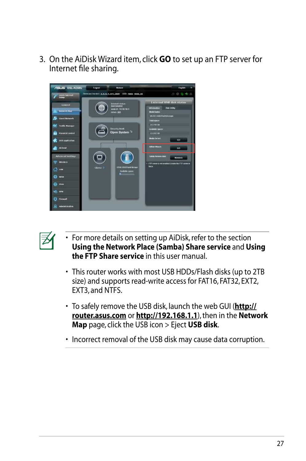3. On the AiDisk Wizard item, click **GO** to set up an FTP server for Internet file sharing.





- For more details on setting up AiDisk, refer to the section **Using the Network Place (Samba) Share service** and **Using the FTP Share service** in this user manual.
- This router works with most USB HDDs/Flash disks (up to 2TB size) and supports read-write access for FAT16, FAT32, EXT2, EXT3, and NTFS.
- To safely remove the USB disk, launch the web GUI (**http:// router.asus.com** or **http://192.168.1.1**), then in the **Network Map** page, click the USB icon > Eject **USB disk**.
- Incorrect removal of the USB disk may cause data corruption.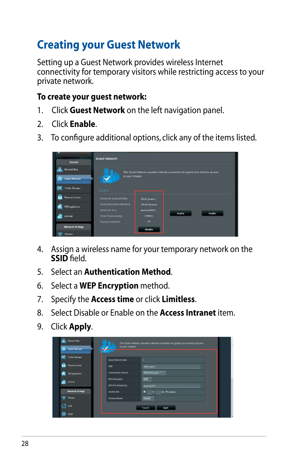# <span id="page-27-0"></span>**Creating your Guest Network**

Setting up a Guest Network provides wireless Internet connectivity for temporary visitors while restricting access to your private network.

### **To create your guest network:**

- 1. Click **Guest Network** on the left navigation panel.
- 2. Click **Enable**.
- 3. To configure additional options, click any of the items listed.



- 4. Assign a wireless name for your temporary network on the **SSID** field.
- 5. Select an **Authentication Method**.
- 6. Select a **WEP Encryption** method.
- 7. Specify the **Access time** or click **Limitless**.
- 8. Select Disable or Enable on the **Access Intranet** item.
- 9. Click **Apply**.

| <b>Trelle Manipir</b>   | <b>Quest Fletwork ricks</b> | W                                 |  |
|-------------------------|-----------------------------|-----------------------------------|--|
| Family control          | $\equiv$                    | ASUL Genti                        |  |
| <b>UIB</b> opptication  | Authorization Method        | WHO Personal Co.                  |  |
| <b>Artistal</b>         | <b>WPA Encryation</b>       | ABS #                             |  |
|                         | <b>WPA Fre-Shared Key</b>   | analysis 2014                     |  |
| <b>Advanced Sentage</b> | <b>Access time</b>          | H<br><b>Ltr. O Linitians</b><br>о |  |
| Winks                   | Access Interest             | Days -                            |  |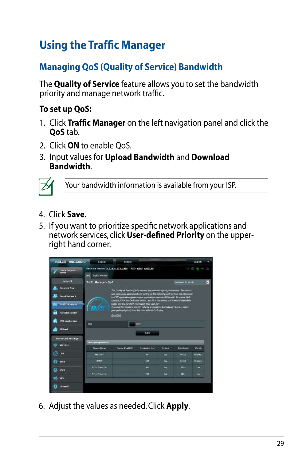# <span id="page-28-0"></span>**Using the Traffic Manager**

# **Managing QoS (Quality of Service) Bandwidth**

The **Quality of Service** feature allows you to set the bandwidth priority and manage network traffic.

## **To set up QoS:**

- 1. Click **Traffic Manager** on the left navigation panel and click the **QoS** tab.
- 2. Click **ON** to enable QoS.
- 3. Input values for **Upload Bandwidth** and **Download Bandwidth**.



Your bandwidth information is available from your ISP.

- 4. Click **Save**.
- 5. If you want to prioritize specific network applications and network services, click **User-defined Priority** on the upperright hand corner.



6. Adjust the values as needed. Click **Apply**.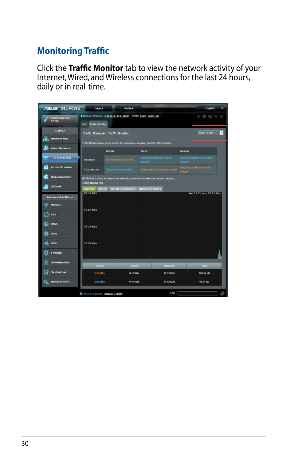# <span id="page-29-0"></span>**Monitoring Traffic**

Click the **Traffic Monitor** tab to view the network activity of your Internet, Wired, and Wireless connections for the last 24 hours, daily or in real-time.

| <b>/ISUS DSL-AC68U</b>     | Logout                                          | Reboot                                                 |                                                                                           | Emplish                                    |
|----------------------------|-------------------------------------------------|--------------------------------------------------------|-------------------------------------------------------------------------------------------|--------------------------------------------|
| Quick Internet<br>Setup    |                                                 | Firmware Version: 3.0.0.4.374_1828  SSID: ASUS ASUS SG |                                                                                           | BV.<br>00001                               |
|                            | <b>Trame Mentor</b><br>Qos                      |                                                        |                                                                                           |                                            |
| General                    |                                                 | Traffic Manager - Traffic Monitor                      |                                                                                           | ٠<br>Real-time                             |
| æ<br><b>Network Map</b>    |                                                 |                                                        | Traffic Montor allows you to monitor the incoming or cutgoing packets of the following.   |                                            |
| <b>Guest Network</b>       |                                                 | <b>Internet</b>                                        | Wired                                                                                     | Wireless                                   |
| Traffic Manager            | Reception                                       | <b>Remnathmik promit</b>                               | International School Williams<br>The World                                                | WEITER DURBS from WINNIES<br><b>County</b> |
| b<br>Parental control      | Transmission                                    | Основни изнание рассит-                                | biagonic planets to wind unwant                                                           | Dalphing packets to winkins<br>retwork.    |
| <b>USB application</b>     |                                                 |                                                        | HOTE: Packats from the informations eventy transmitted to the wired and wireless devices. |                                            |
| <b>AiCloud</b>             | <b>Traffic Monitor FAQ</b><br>Internet<br>Wired | Windess (2.46Hz)                                       | Wineless (SGRr)                                                                           |                                            |
| <b>Advanced Settings</b>   | 85.45 KB/s                                      |                                                        |                                                                                           | Man 05:52 pm / 73.73 K8/s                  |
| Wireless                   |                                                 |                                                        |                                                                                           |                                            |
| LAN                        | 59.81 KB/s                                      |                                                        |                                                                                           |                                            |
| 月<br><b>WAN</b>            | 42.72 KB/s                                      |                                                        |                                                                                           |                                            |
| <b>IPv6</b>                |                                                 |                                                        |                                                                                           |                                            |
| <b>VPK</b>                 | 21.36 KB/s                                      |                                                        |                                                                                           |                                            |
| n<br>Firewall              |                                                 |                                                        |                                                                                           |                                            |
| Q<br><b>Administration</b> | <b>Current</b>                                  | литаде                                                 | Maumum                                                                                    | Tutat                                      |
| System Log                 | 2.29 KBn                                        | 0.17 KBh                                               | 12.13 KB/s                                                                                | 102.54 KB                                  |
| হি<br><b>Network Tools</b> | <b>2.BR KIVE</b>                                | D.15 KGNs                                              | 11/02 KBMs                                                                                | 95.21 KB                                   |
|                            | <b>C</b> Help & Support Manual   Dility         |                                                        | FAQ                                                                                       | p                                          |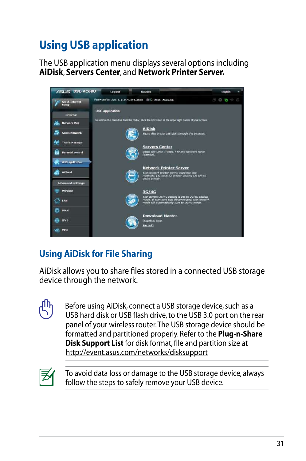# <span id="page-30-0"></span>**Using USB application**

The USB application menu displays several options including **AiDisk**, **Servers Center**, and **Network Printer Server.**



# **Using AiDisk for File Sharing**

AiDisk allows you to share files stored in a connected USB storage device through the network.

> Before using AiDisk, connect a USB storage device, such as a USB hard disk or USB flash drive, to the USB 3.0 port on the rear panel of your wireless router. The USB storage device should be formatted and partitioned properly. Refer to the **Plug-n-Share Disk Support List** for disk format, file and partition size at http://event.asus.com/networks/disksupport



To avoid data loss or damage to the USB storage device, always follow the steps to safely remove your USB device.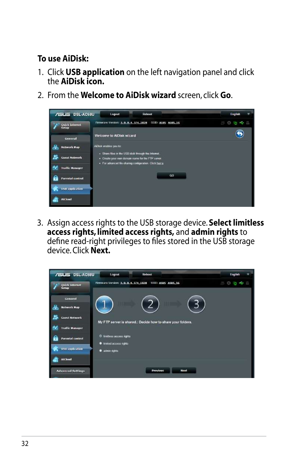### **To use AiDisk:**

- 1. Click **USB application** on the left navigation panel and click the **AiDisk icon.**
- 2. From the **Welcome to AiDisk wizard** screen, click **Go**.

| <b>/ISLIS DSL-AC68U</b>        | Logout<br>Reboot                                                                                         | English<br>٠ |  |
|--------------------------------|----------------------------------------------------------------------------------------------------------|--------------|--|
| Quick Internet<br><b>Setup</b> | Firmware Version: 3.0.0.4.374 1828<br>SSID: ASUS ASUS SG                                                 | 生心者专业        |  |
| General                        | Welcome to AiDisk wizard                                                                                 |              |  |
| 品<br><b>Network Map</b>        | AiDisk enables you to:                                                                                   |              |  |
| <b>Guest Network</b>           | - Share files in the USB dick through the Internet.<br>. Create your own domain name for the FTP series. |              |  |
| A.<br><b>Traffic Manager</b>   | · For advanced file-sharing configuration. Click herea:                                                  |              |  |
| <b>Parental control</b>        | GO                                                                                                       |              |  |
| <b>USB</b> application         |                                                                                                          |              |  |
| AiCloud                        |                                                                                                          |              |  |

3. Assign access rights to the USB storage device. **Select limitless access rights, limited access rights,** and **admin rights** to define read-right privileges to files stored in the USB storage device. Click **Next.**

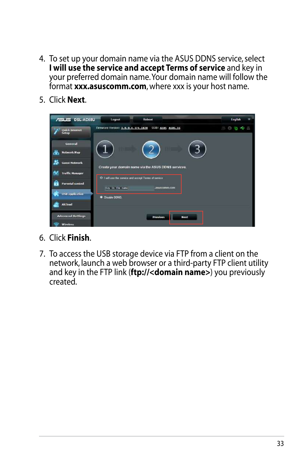- 4. To set up your domain name via the ASUS DDNS service, select **I will use the service and accept Terms of service** and key in your preferred domain name. Your domain name will follow the format **xxx.asuscomm.com**, where xxx is your host name.
- 5. Click **Next**.

| <b>/ISLIS DSL-AC68U</b>       | Reboot<br>Logout                                                                         | English    |
|-------------------------------|------------------------------------------------------------------------------------------|------------|
| Quick Internet<br>Setup       | Firmware Version: 3.0.0.4.374_1828 SSID: ASBS ASUS SG                                    | 0644<br>85 |
| General                       |                                                                                          |            |
| 晶<br><b>Network Map</b>       |                                                                                          |            |
| <b>Guest Network</b>          | Create your domain name via the ASUS DDNS services.                                      |            |
| Ay.<br><b>Traffic Manager</b> |                                                                                          |            |
| A<br><b>Parental control</b>  | O I will use the service and accept Terms of service<br>asuscomm.com<br>Key in the name. |            |
| <b>USB</b> application        | · Dreable DDNS.                                                                          |            |
| AiCloud                       |                                                                                          |            |
| <b>Advanced Settings</b>      | <b>Previous</b><br><b>Next</b>                                                           |            |
| Wireless                      |                                                                                          |            |

- 6. Click **Finish**.
- 7. To access the USB storage device via FTP from a client on the network, launch a web browser or a third-party FTP client utility and key in the FTP link (**ftp://<domain name>**) you previously created.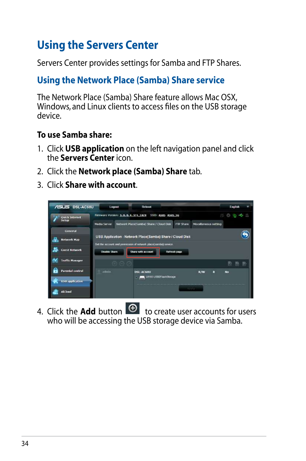# <span id="page-33-0"></span>**Using the Servers Center**

Servers Center provides settings for Samba and FTP Shares.

# **Using the Network Place (Samba) Share service**

The Network Place (Samba) Share feature allows Mac OSX, Windows, and Linux clients to access files on the USB storage device.

### **To use Samba share:**

- 1. Click **USB application** on the left navigation panel and click the **Servers Center** icon.
- 2. Click the **Network place (Samba) Share** tab.
- 3. Click **Share with account**.



4. Click the **Add** button  $\Theta$  to create user accounts for users who will be accessing the USB storage device via Samba.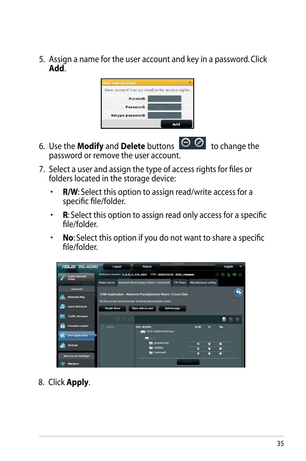5. Assign a name for the user account and key in a password. Click **Add**.

| New account has no read/write access rights. |     |
|----------------------------------------------|-----|
|                                              |     |
| Account:                                     |     |
| Password:                                    |     |
| Retype password:                             |     |
|                                              | Add |

- 6. Use the **Modify** and **Delete** buttons  $\Theta$  **O** to change the password or remove the user account.
- 7. Select a user and assign the type of access rights for files or folders located in the storage device:
	- **R/W**: Select this option to assign read/write access for a specific file/folder.
	- **R**: Select this option to assign read only access for a specific file/folder.
	- **No**: Select this option if you do not want to share a specific file/folder.

| <b>/ELIS DSL-AC68U</b>                            | Logout        | <b>Reboot</b>                                                                                              |                                         |                       |             | English                 |  |
|---------------------------------------------------|---------------|------------------------------------------------------------------------------------------------------------|-----------------------------------------|-----------------------|-------------|-------------------------|--|
| Quick Internet<br>Series                          | Media Server  | Firmware Version: 3.0.0.4.174 1812 SSID: ASUSEEEEE ASUS_30mmmm<br>Network Place(Saniba) Share / Cloud Disk | <b>FTP Share</b>                        | Miscellaneous setting | B           | <b>B 6 6 5</b>          |  |
| Ceneral<br><b>Network Map</b>                     |               | USB Application - Network Place(Samba) Share / Cloud Disk                                                  |                                         |                       |             |                         |  |
| <b>Guest Network</b>                              | Disable Share | Set the account and permission of network place(samba) service.<br>Share with account                      | Refresh page                            |                       |             |                         |  |
| <b>Traffic Manager</b>                            | 10.0          |                                                                                                            |                                         |                       |             | 融<br>巴                  |  |
| <b>Parental control</b><br><b>USB application</b> | admin         | <b>DSL-AC6BU</b>                                                                                           | UH65 USB2RathStorage                    | R/W                   | F           | $\overline{\mathbf{M}}$ |  |
| <b>AiCloud</b>                                    |               |                                                                                                            | asusware high<br>ministria<br>Download? | ø<br>ø                | о<br>п<br>п |                         |  |
| <b>Advanced Settings</b><br><b>Wireless</b>       |               |                                                                                                            | <b>STATISTICS</b>                       | o                     |             |                         |  |

8. Click **Apply**.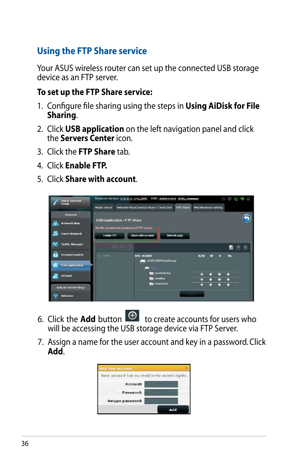# <span id="page-35-0"></span>**Using the FTP Share service**

Your ASUS wireless router can set up the connected USB storage device as an FTP server.

### **To set up the FTP Share service:**

- 1. Configure file sharing using the steps in **Using AiDisk for File Sharing**.
- 2. Click **USB application** on the left navigation panel and click the **Servers Center** icon.
- 3. Click the **FTP Share** tab.
- 4. Click **Enable FTP.**
- 5. Click **Share with account**.



- 6. Click the **Add** button  $\Theta$  to create accounts for users who will be accessing the USB storage device via FTP Server.
- 7. Assign a name for the user account and key in a password. Click **Add**.

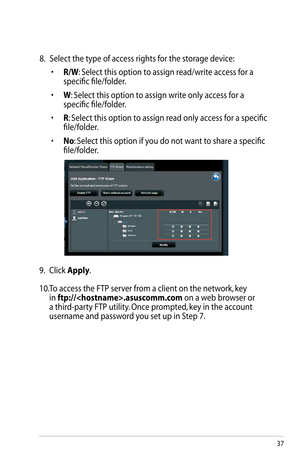- 8. Select the type of access rights for the storage device:
	- **R/W**: Select this option to assign read/write access for a specific file/folder.
	- **W**: Select this option to assign write only access for a specific file/folder.
	- **R**: Select this option to assign read only access for a specific file/folder.
	- **No**: Select this option if you do not want to share a specific file/folder.



## 9. Click **Apply**.

10.To access the FTP server from a client on the network, key in **ftp://<hostname>.asuscomm.com** on a web browser or a third-party FTP utility. Once prompted, key in the account username and password you set up in Step 7.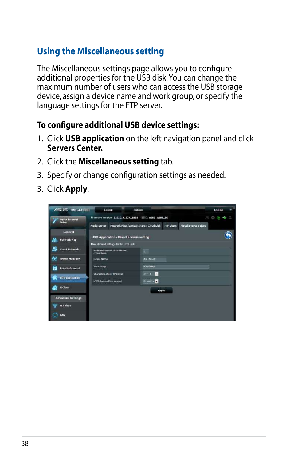# <span id="page-37-0"></span>**Using the Miscellaneous setting**

The Miscellaneous settings page allows you to configure additional properties for the USB disk. You can change the maximum number of users who can access the USB storage device, assign a device name and work group, or specify the language settings for the FTP server.

## **To configure additional USB device settings:**

- 1. Click **USB application** on the left navigation panel and click **Servers Center.**
- 2. Click the **Miscellaneous setting** tab.
- 3. Specify or change configuration settings as needed.
- 3. Click **Apply**.

| <b>ASLIS DSL-AC68U</b>   | Logout                      |                                          | Reboot                                                 |           |                      | English |  |
|--------------------------|-----------------------------|------------------------------------------|--------------------------------------------------------|-----------|----------------------|---------|--|
| Quick Internet           |                             |                                          | Firmware Version: 3.0.0.4.374.1828  SSID: ASUS ASUS 56 |           | 8                    | 0 a c B |  |
|                          | Media Server                |                                          | Network Place(Samba) Share / Cloud Disk                | FTP Share | Mscellaneous setting |         |  |
| General                  |                             |                                          |                                                        |           |                      |         |  |
| Network Map              |                             | USB Application - Miscellaneous setting  |                                                        |           |                      |         |  |
|                          |                             | More detailed settings for the USB Disk. |                                                        |           |                      |         |  |
| <b>Guest Network</b>     | connections                 | Maximum number of concurrent             | ¥,                                                     |           |                      |         |  |
| <b>Traffic Manager</b>   | Davide Name                 |                                          | 05L-AC68U                                              |           |                      |         |  |
| Parental control         | Work Croup                  |                                          | WORKGROUP                                              |           |                      |         |  |
|                          | Character ast on FTP Server |                                          | $urre-8$                                               |           |                      |         |  |
| USB application          | NTFS Sparse Files support   |                                          | <b>Disable</b>                                         |           |                      |         |  |
| Aicloud                  |                             |                                          | Apply                                                  |           |                      |         |  |
|                          |                             |                                          |                                                        |           |                      |         |  |
| <b>Advanced Settings</b> |                             |                                          |                                                        |           |                      |         |  |
| Wireless                 |                             |                                          |                                                        |           |                      |         |  |
| LAN                      |                             |                                          |                                                        |           |                      |         |  |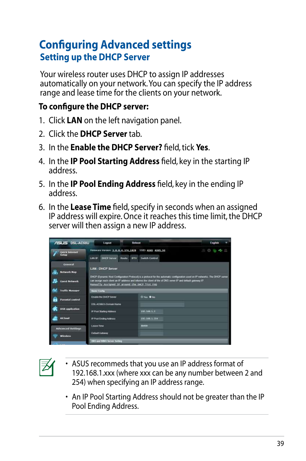# <span id="page-38-0"></span>**Configuring Advanced settings Setting up the DHCP Server**

Your wireless router uses DHCP to assign IP addresses automatically on your network. You can specify the IP address range and lease time for the clients on your network.

## **To configure the DHCP server:**

- 1. Click **LAN** on the left navigation panel.
- 2. Click the **DHCP Server** tab.
- 3. In the **Enable the DHCP Server?** field, tick **Yes**.
- 4. In the **IP Pool Starting Address** field, key in the starting IP address.
- 5. In the **IP Pool Ending Address** field, key in the ending IP address.
- 6. In the **Lease Time** field, specify in seconds when an assigned IP address will expire. Once it reaches this time limit, the DHCP server will then assign a new IP address.

| <b>/ISUS DSL-AC68U</b>         | Logout                                                                                 | Reboot                                                                                                                                                                                                                                       | <b>English</b>           |
|--------------------------------|----------------------------------------------------------------------------------------|----------------------------------------------------------------------------------------------------------------------------------------------------------------------------------------------------------------------------------------------|--------------------------|
| <b>Ouick Interact</b><br>Setup | Femware Version: 3, 0, 0, 4, 374, 1828<br><b>DHCP Server</b><br><b>LANCID</b><br>Route | <b>SSID: ASUS ASUS SG</b><br>Switch Control<br><b>IPTV</b>                                                                                                                                                                                   | 0 <sub>0</sub><br>æ<br>田 |
| General<br><b>Network Map</b>  | <b>LAN - DHCP Server</b>                                                               |                                                                                                                                                                                                                                              |                          |
| <b>Guest Network</b>           | Manually Assigned IP around the DACP list FAQ                                          | DHCP (Dynamic Host Configuration Protocol) is a protocol for the automatic configuration used on IP networks. The DHCP server<br>can assign each client on IP address and informs the client of the of DNS series IP and default goteway IP. |                          |
| <b>Traffic Manager</b>         | <b>Maniel Conflid</b>                                                                  |                                                                                                                                                                                                                                              |                          |
| Parental control               | Enable the DHCP Server                                                                 | O'Yes @ No                                                                                                                                                                                                                                   |                          |
| <b>USB</b> application         | DSL-AC68U's Domain Name<br>IP Pool Starting Address                                    | 192,186,1,2                                                                                                                                                                                                                                  |                          |
| AiCloud                        | IP Pool Ending Address                                                                 | 192.168.1.254                                                                                                                                                                                                                                |                          |
| <b>Advanced Settings</b>       | Lease Time                                                                             | 55400                                                                                                                                                                                                                                        |                          |
| <b>Wireless</b>                | <b>Default Gateway</b>                                                                 |                                                                                                                                                                                                                                              |                          |
|                                | <b>DNS and WMS Server Section</b>                                                      |                                                                                                                                                                                                                                              |                          |



- ASUS recommeds that you use an IP address format of 192.168.1.xxx (where xxx can be any number between 2 and 254) when specifying an IP address range.
- An IP Pool Starting Address should not be greater than the IP Pool Ending Address.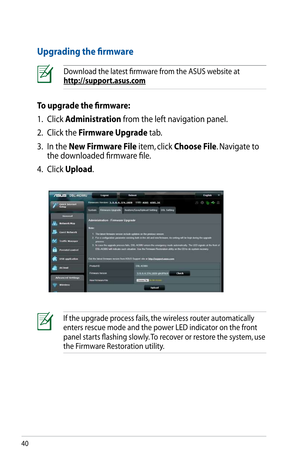# <span id="page-39-0"></span>**Upgrading the firmware**



Download the latest firmware from the ASUS website at **http://support.asus.com**

### **To upgrade the firmware:**

- 1. Click **Administration** from the left navigation panel.
- 2. Click the **Firmware Upgrade** tab.
- 3. In the **New Firmware File** item, click **Choose File**. Navigate to the downloaded firmware file.
- 4. Click **Upload**.

| <b>/ISUS DSL-AC68U</b>                  | Logout                            | Reboot                                                                                                                                                                                             |                    | English |
|-----------------------------------------|-----------------------------------|----------------------------------------------------------------------------------------------------------------------------------------------------------------------------------------------------|--------------------|---------|
| <b>Quick Internet</b><br><b>Barbara</b> |                                   | Firmware Version: 3.0.0.4.374.1828 SSID: ASIS ASIS SG                                                                                                                                              |                    |         |
|                                         | Firmware Upgrade<br>System        | Restoru/Save/Uplnad Satting                                                                                                                                                                        | <b>DSL Setting</b> |         |
| General                                 |                                   |                                                                                                                                                                                                    |                    |         |
| Network Map                             | Administration - Firmware Upgrade |                                                                                                                                                                                                    |                    |         |
| <b>Great Network</b>                    | <b>Note:</b>                      | 1. The latest timiware version include updates on the previous version.<br>2. I'm a configuration parameter existing both in the old and new firmware, its setting will be kept during the upgrade |                    |         |
| <b>Traffic Manager</b>                  | process.                          | 3. In case the regrade process fails. DSL.AC683 enters the imagency mode automatically. The LED signals at the front of                                                                            |                    |         |
| <b>Parental control</b>                 |                                   | DSL-AC58U will indicate such situation. Use the Firmware Restoration utility on the CD to do system recovery.                                                                                      |                    |         |
| USB application                         |                                   | Out the latest firmware version from ASUB Support site at http://support.com/upport                                                                                                                |                    |         |
| <b>ALC Sound</b>                        | Product ID                        | DIE ACBBU                                                                                                                                                                                          |                    |         |
|                                         | <b>Firmware Yersion</b>           | 3.0.4.374_1878-g3c3f8c0                                                                                                                                                                            | Check              |         |
|                                         |                                   |                                                                                                                                                                                                    |                    |         |
| <b>Advanced Settings</b>                | <b>FORM FRIDAYA'S FTDS</b>        | <b>System Fig. 10 Bit (10 year)</b>                                                                                                                                                                |                    |         |

| . .<br>v<br>۰.<br>r |
|---------------------|
|                     |

If the upgrade process fails, the wireless router automatically enters rescue mode and the power LED indicator on the front panel starts flashing slowly. To recover or restore the system, use the Firmware Restoration utility.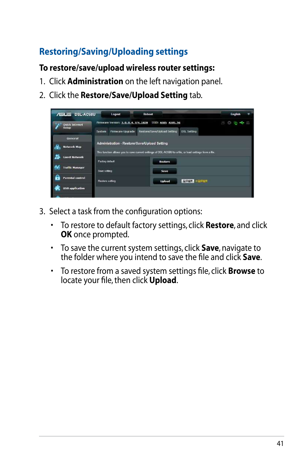# <span id="page-40-0"></span>**Restoring/Saving/Uploading settings**

### **To restore/save/upload wireless router settings:**

- 1. Click **Administration** on the left navigation panel.
- 2. Click the **Restore/Save/Upload Setting** tab.

| <b>/ISUS DSL-AC68U</b>        | Logout                                       | <b>Reboot</b>                                                                                           | English |
|-------------------------------|----------------------------------------------|---------------------------------------------------------------------------------------------------------|---------|
| <b>Quick Internet</b>         | Firmware Version: 3.0.0.4.374 1828           | <b>55ID: ASUS ASUS 56</b>                                                                               | .<br>æ  |
| Setup                         | Firmware Uporade<br>System                   | Restore/Save/Upload Setting<br><b>DSL Setting</b>                                                       |         |
| General                       |                                              |                                                                                                         |         |
| æ<br><b>Network Map</b>       | Administration - Restore/Save/Upload Setting |                                                                                                         |         |
|                               |                                              | This function allows you to save current settings of DSL-AC58U to a file, or load settings from a file. |         |
| <b>Guest Network</b>          | Factory default                              | <b>Restore</b>                                                                                          |         |
| <b>Traffic Manager</b><br>Ay. | Save setting                                 | Save                                                                                                    |         |
|                               |                                              |                                                                                                         |         |
| Parental control              | Restore setting                              | <b>MIRAR HAIRAR</b><br><b>Upload</b>                                                                    |         |
| <b>USB application</b>        |                                              |                                                                                                         |         |
|                               |                                              |                                                                                                         |         |

- 3. Select a task from the configuration options:
	- To restore to default factory settings, click **Restore**, and click **OK** once prompted.
	- To save the current system settings, click **Save**, navigate to the folder where you intend to save the file and click **Save**.
	- To restore from a saved system settings file, click **Browse** to locate your file, then click **Upload**.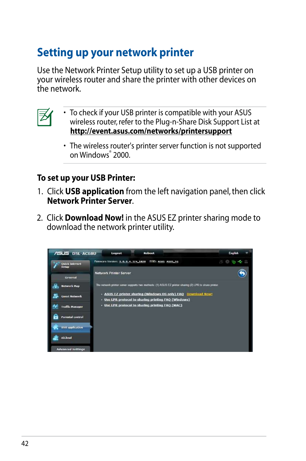# <span id="page-41-0"></span>**Setting up your network printer**

Use the Network Printer Setup utility to set up a USB printer on your wireless router and share the printer with other devices on the network.



- To check if your USB printer is compatible with your ASUS wireless router, refer to the Plug-n-Share Disk Support List at **http://event.asus.com/networks/printersupport**
- The wireless router's printer server function is not supported on Windows® 2000.

## **To set up your USB Printer:**

- 1. Click **USB application** from the left navigation panel, then click **Network Printer Server**.
- 2. Click **Download Now!** in the ASUS EZ printer sharing mode to download the network printer utility.

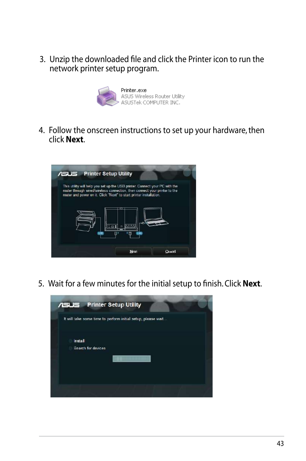3. Unzip the downloaded file and click the Printer icon to run the network printer setup program.



4. Follow the onscreen instructions to set up your hardware, then click **Next**.



5. Wait for a few minutes for the initial setup to finish. Click **Next**.

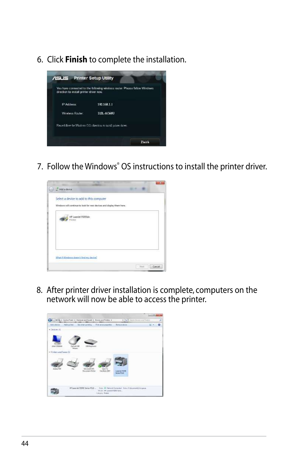6. Click **Finish** to complete the installation.



7. Follow the Windows® OS instructions to install the printer driver.



8. After printer driver installation is complete, computers on the network will now be able to access the printer.

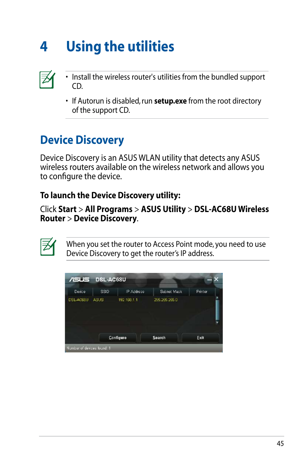# <span id="page-44-0"></span>**4 Using the utilities**



- Install the wireless router's utilities from the bundled support CD.
- If Autorun is disabled, run **setup.exe** from the root directory of the support CD.

# **Device Discovery**

Device Discovery is an ASUS WLAN utility that detects any ASUS wireless routers available on the wireless network and allows you to configure the device.

## **To launch the Device Discovery utility:**

Click **Start** > **All Programs** > **ASUS Utility** > **DSL-AC68U Wireless Router** > **Device Discovery**.



When you set the router to Access Point mode, you need to use Device Discovery to get the router's IP address.

| 7515                      | DSL-AC68U   |             |               |         |  |
|---------------------------|-------------|-------------|---------------|---------|--|
| Device                    | SSID        | IP Address  | Subnet Mask   | Printer |  |
| DSL-AC68U                 | <b>ASUS</b> | 192 166.1.1 | 255.265.255.0 |         |  |
|                           |             | Configure   | Search        | Exit    |  |
| Number of devices found 1 |             |             |               |         |  |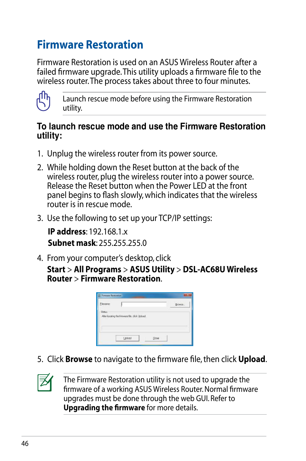# <span id="page-45-0"></span>**Firmware Restoration**

Firmware Restoration is used on an ASUS Wireless Router after a failed firmware upgrade. This utility uploads a firmware file to the wireless router. The process takes about three to four minutes.



Launch rescue mode before using the Firmware Restoration utility.

### **To launch rescue mode and use the Firmware Restoration utility:**

- 1. Unplug the wireless router from its power source.
- 2. While holding down the Reset button at the back of the wireless router, plug the wireless router into a power source. Release the Reset button when the Power LED at the front panel begins to flash slowly, which indicates that the wireless router is in rescue mode.
- 3. Use the following to set up your TCP/IP settings:

**IP address**: 192.168.1.x **Subnet mask**: 255.255.255.0

4. From your computer's desktop, click

**Start** > **All Programs** > **ASUS Utility** > **DSL-AC68U Wireless Router** > **Firmware Restoration**.



5. Click **Browse** to navigate to the firmware file, then click **Upload**.



The Firmware Restoration utility is not used to upgrade the firmware of a working ASUS Wireless Router. Normal firmware upgrades must be done through the web GUI. Refer to **Upgrading the firmware** for more details.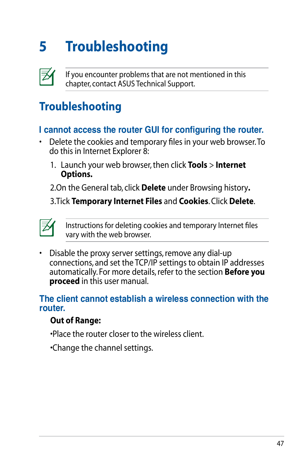# <span id="page-46-0"></span>**5 Troubleshooting**



If you encounter problems that are not mentioned in this chapter, contact ASUS Technical Support.

# **Troubleshooting**

## **I cannot access the router GUI for configuring the router.**

- Delete the cookies and temporary files in your web browser. To do this in Internet Explorer 8:
	- 1. Launch your web browser, then click **Tools** > **Internet Options.**

2.On the General tab, click **Delete** under Browsing history**.**

3.Tick **Temporary Internet Files** and **Cookies**. Click **Delete**.



Instructions for deleting cookies and temporary Internet files vary with the web browser.

• Disable the proxy server settings, remove any dial-up connections, and set the TCP/IP settings to obtain IP addresses automatically. For more details, refer to the section **Before you proceed** in this user manual.

### **The client cannot establish a wireless connection with the router.**

## **Out of Range:**

•Place the router closer to the wireless client.

•Change the channel settings.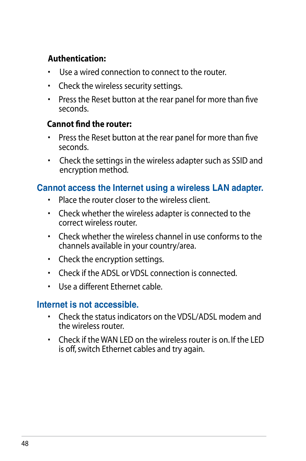### **Authentication:**

- Use a wired connection to connect to the router.
- Check the wireless security settings.
- Press the Reset button at the rear panel for more than five seconds.

### **Cannot find the router:**

- Press the Reset button at the rear panel for more than five seconds.
- Check the settings in the wireless adapter such as SSID and encryption method.

### **Cannot access the Internet using a wireless LAN adapter.**

- Place the router closer to the wireless client.
- Check whether the wireless adapter is connected to the correct wireless router.
- Check whether the wireless channel in use conforms to the channels available in your country/area.
- Check the encryption settings.
- Check if the ADSL or VDSL connection is connected.
- Use a different Ethernet cable.

## **Internet is not accessible.**

- Check the status indicators on the VDSL/ADSL modem and the wireless router.
- Check if the WAN LED on the wireless router is on. If the LED is off, switch Ethernet cables and try again.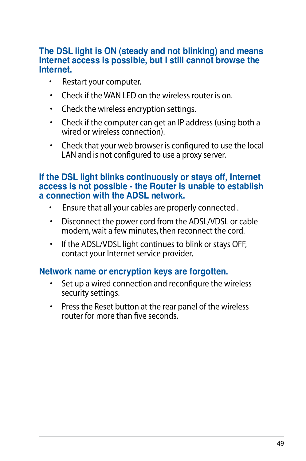### **The DSL light is ON (steady and not blinking) and means Internet access is possible, but I still cannot browse the Internet.**

- Restart your computer.
- Check if the WAN LED on the wireless router is on.
- Check the wireless encryption settings.
- Check if the computer can get an IP address (using both a wired or wireless connection).
- Check that your web browser is configured to use the local LAN and is not configured to use a proxy server.

### **If the DSL light blinks continuously or stays off, Internet access is not possible - the Router is unable to establish a connection with the ADSL network.**

- Ensure that all your cables are properly connected .
- Disconnect the power cord from the ADSL/VDSL or cable modem, wait a few minutes, then reconnect the cord.
- If the ADSL/VDSL light continues to blink or stays OFF, contact your Internet service provider.

### **Network name or encryption keys are forgotten.**

- Set up a wired connection and reconfigure the wireless security settings.
- Press the Reset button at the rear panel of the wireless router for more than five seconds.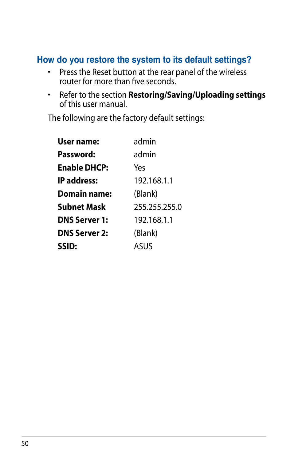## **How do you restore the system to its default settings?**

- Press the Reset button at the rear panel of the wireless router for more than five seconds.
- Refer to the section **Restoring/Saving/Uploading settings** of this user manual.

The following are the factory default settings:

| <b>User name:</b>    | admin         |
|----------------------|---------------|
| Password:            | admin         |
| <b>Enable DHCP:</b>  | Yes           |
| <b>IP</b> address:   | 192.168.1.1   |
| <b>Domain name:</b>  | (Blank)       |
| Subnet Mask          | 255.255.255.0 |
| <b>DNS Server 1:</b> | 192.168.1.1   |
| <b>DNS Server 2:</b> | (Blank)       |
| SSID:                | ASUS          |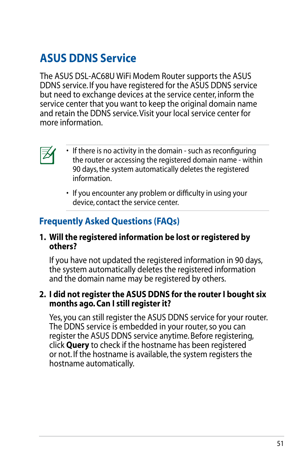# <span id="page-50-0"></span>**ASUS DDNS Service**

The ASUS DSL-AC68U WiFi Modem Router supports the ASUS DDNS service. If you have registered for the ASUS DDNS service but need to exchange devices at the service center, inform the service center that you want to keep the original domain name and retain the DDNS service. Visit your local service center for more information.



- If there is no activity in the domain such as reconfiguring the router or accessing the registered domain name - within 90 days, the system automatically deletes the registered information.
- If you encounter any problem or difficulty in using your device, contact the service center.

# **Frequently Asked Questions (FAQs)**

### **1. Will the registered information be lost or registered by others?**

If you have not updated the registered information in 90 days, the system automatically deletes the registered information and the domain name may be registered by others.

### **2. I did not register the ASUS DDNS for the router I bought six months ago. Can I still register it?**

Yes, you can still register the ASUS DDNS service for your router. The DDNS service is embedded in your router, so you can register the ASUS DDNS service anytime. Before registering, click **Query** to check if the hostname has been registered or not. If the hostname is available, the system registers the hostname automatically.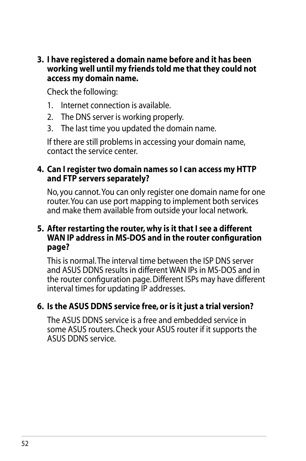**3. I have registered a domain name before and it has been working well until my friends told me that they could not access my domain name.**

Check the following:

- 1. Internet connection is available.
- 2. The DNS server is working properly.
- 3. The last time you updated the domain name.

If there are still problems in accessing your domain name, contact the service center.

### **4. Can I register two domain names so I can access my HTTP and FTP servers separately?**

No, you cannot. You can only register one domain name for one router. You can use port mapping to implement both services and make them available from outside your local network.

### **5. After restarting the router, why is it that I see a different WAN IP address in MS-DOS and in the router configuration page?**

This is normal. The interval time between the ISP DNS server and ASUS DDNS results in different WAN IPs in MS-DOS and in the router configuration page. Different ISPs may have different interval times for updating IP addresses.

## **6. Is the ASUS DDNS service free, or is it just a trial version?**

The ASUS DDNS service is a free and embedded service in some ASUS routers. Check your ASUS router if it supports the ASUS DDNS service.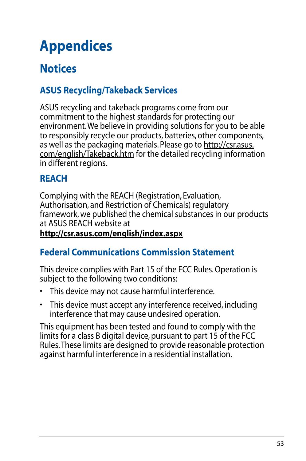# <span id="page-52-0"></span>**Appendices**

# **Notices**

# **ASUS Recycling/Takeback Services**

ASUS recycling and takeback programs come from our commitment to the highest standards for protecting our environment. We believe in providing solutions for you to be able to responsibly recycle our products, batteries, other components. as well as the packaging materials. Please go to http://csr.asus. com/english/Takeback.htm for the detailed recycling information in different regions.

# **REACH**

Complying with the REACH (Registration, Evaluation, Authorisation, and Restriction of Chemicals) regulatory framework, we published the chemical substances in our products at ASUS REACH website at **http://csr.asus.com/english/index.aspx**

# **Federal Communications Commission Statement**

This device complies with Part 15 of the FCC Rules. Operation is subject to the following two conditions:

- This device may not cause harmful interference.
- This device must accept any interference received, including interference that may cause undesired operation.

This equipment has been tested and found to comply with the limits for a class B digital device, pursuant to part 15 of the FCC Rules. These limits are designed to provide reasonable protection against harmful interference in a residential installation.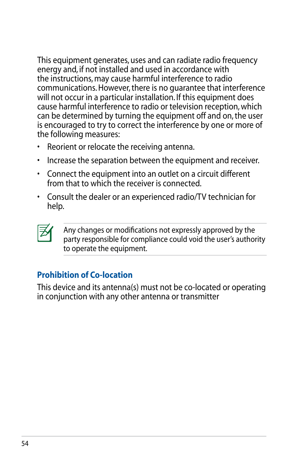This equipment generates, uses and can radiate radio frequency energy and, if not installed and used in accordance with the instructions, may cause harmful interference to radio communications. However, there is no quarantee that interference will not occur in a particular installation. If this equipment does cause harmful interference to radio or television reception, which can be determined by turning the equipment off and on, the user is encouraged to try to correct the interference by one or more of the following measures:

- Reorient or relocate the receiving antenna.
- Increase the separation between the equipment and receiver.
- Connect the equipment into an outlet on a circuit different from that to which the receiver is connected.
- Consult the dealer or an experienced radio/TV technician for help.



Any changes or modifications not expressly approved by the party responsible for compliance could void the user's authority to operate the equipment.

## **Prohibition of Co-location**

This device and its antenna(s) must not be co-located or operating in conjunction with any other antenna or transmitter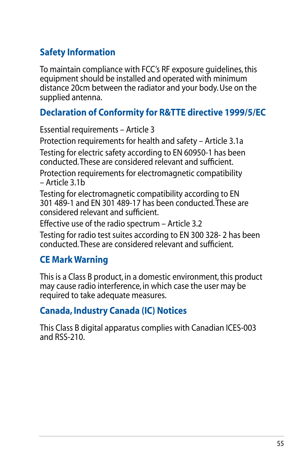# **Safety Information**

To maintain compliance with FCC's RF exposure guidelines, this equipment should be installed and operated with minimum distance 20cm between the radiator and your body. Use on the supplied antenna.

## **Declaration of Conformity for R&TTE directive 1999/5/EC**

Essential requirements – Article 3 Protection requirements for health and safety – Article 3.1a Testing for electric safety according to EN 60950-1 has been conducted. These are considered relevant and sufficient. Protection requirements for electromagnetic compatibility – Article 3.1b Testing for electromagnetic compatibility according to EN 301 489-1 and EN 301 489-17 has been conducted. These are considered relevant and sufficient. Effective use of the radio spectrum – Article 3.2

Testing for radio test suites according to EN 300 328- 2 has been conducted. These are considered relevant and sufficient.

# **CE Mark Warning**

This is a Class B product, in a domestic environment, this product may cause radio interference, in which case the user may be required to take adequate measures.

## **Canada, Industry Canada (IC) Notices**

This Class B digital apparatus complies with Canadian ICES-003 and RSS-210.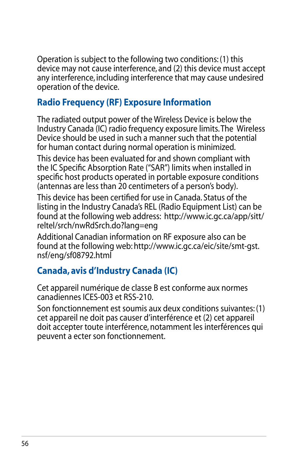Operation is subject to the following two conditions: (1) this device may not cause interference, and (2) this device must accept any interference, including interference that may cause undesired operation of the device.

# **Radio Frequency (RF) Exposure Information**

The radiated output power of the Wireless Device is below the Industry Canada (IC) radio frequency exposure limits. The Wireless Device should be used in such a manner such that the potential for human contact during normal operation is minimized.

This device has been evaluated for and shown compliant with the IC Specific Absorption Rate ("SAR") limits when installed in specific host products operated in portable exposure conditions (antennas are less than 20 centimeters of a person's body).

This device has been certified for use in Canada. Status of the listing in the Industry Canada's REL (Radio Equipment List) can be found at the following web address: http://www.ic.gc.ca/app/sitt/ reltel/srch/nwRdSrch.do?lang=eng

Additional Canadian information on RF exposure also can be found at the following web: http://www.ic.gc.ca/eic/site/smt-gst. nsf/eng/sf08792.html

# **Canada, avis d'Industry Canada (IC)**

Cet appareil numérique de classe B est conforme aux normes canadiennes ICES-003 et RSS-210.

Son fonctionnement est soumis aux deux conditions suivantes: (1) cet appareil ne doit pas causer d'interférence et (2) cet appareil doit accepter toute interférence, notamment les interférences qui peuvent a ecter son fonctionnement.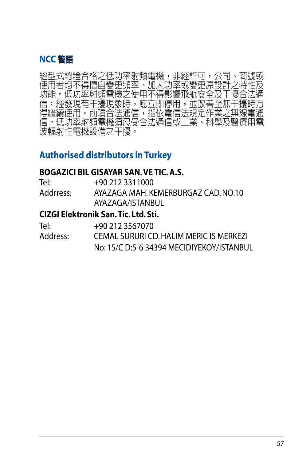

經型式認證合格之低功率射頻電機,非經許可,公司、商號或 使用者均不得擅自變更頻率、加大功率或變更原設計之特性及<br>功能。低功率射頻電機之使用不得影響飛航安全及干擾合法通 功能。低功率射頻電機之使用不得影響飛航安全及干擾合法通<br>信;經發現有干擾現象時,應立即停用,並改善至無干擾時方 信;經發現有干擾現象時,應立即停用,並改善至無 得繼續使用。前項合法通信,指依電信法規定作業之無線電通 信。低功率射頻電機須忍受合法通信或工業、科學及醫療用電 波輻射性電機設備之干擾。

## **Authorised distributors in Turkey**

### **BOGAZICI BIL GISAYAR SAN. VE TIC. A.S.**

| Tel:      | +90 212 3311000                     |
|-----------|-------------------------------------|
| Addrress: | AYAZAGA MAH. KEMERBURGAZ CAD. NO.10 |
|           | AYAZAGA/ISTANBUL                    |

### **CIZGI Elektronik San. Tic. Ltd. Sti.**

| Tel:     | +90 212 3567070                           |
|----------|-------------------------------------------|
| Address: | CEMAL SURURI CD. HALIM MERIC IS MERKEZI   |
|          | No: 15/C D:5-6 34394 MECIDIYEKOY/ISTANBUL |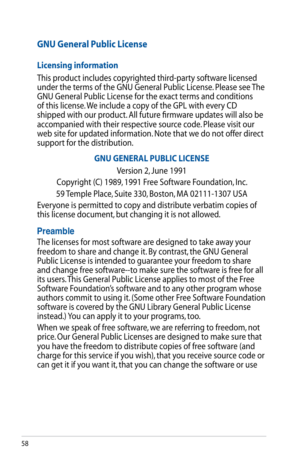## **GNU General Public License**

### **Licensing information**

This product includes copyrighted third-party software licensed under the terms of the GNU General Public License. Please see The GNU General Public License for the exact terms and conditions of this license. We include a copy of the GPL with every CD shipped with our product. All future firmware updates will also be accompanied with their respective source code. Please visit our web site for updated information. Note that we do not offer direct support for the distribution.

### **GNU GENERAL PUBLIC LICENSE**

Version 2, June 1991

Copyright (C) 1989, 1991 Free Software Foundation, Inc. 59 Temple Place, Suite 330, Boston, MA 02111-1307 USA Everyone is permitted to copy and distribute verbatim copies of this license document, but changing it is not allowed.

### **Preamble**

The licenses for most software are designed to take away your freedom to share and change it. By contrast, the GNU General Public License is intended to guarantee your freedom to share and change free software--to make sure the software is free for all its users. This General Public License applies to most of the Free Software Foundation's software and to any other program whose authors commit to using it. (Some other Free Software Foundation software is covered by the GNU Library General Public License instead.) You can apply it to your programs, too.

When we speak of free software, we are referring to freedom, not price. Our General Public Licenses are designed to make sure that you have the freedom to distribute copies of free software (and charge for this service if you wish), that you receive source code or can get it if you want it, that you can change the software or use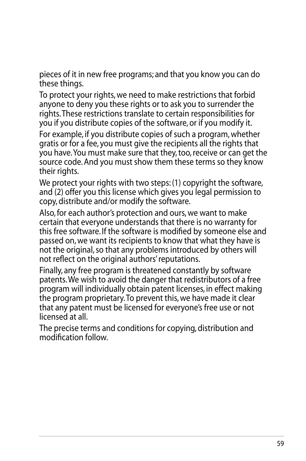pieces of it in new free programs; and that you know you can do these things.

To protect your rights, we need to make restrictions that forbid anyone to deny you these rights or to ask you to surrender the rights. These restrictions translate to certain responsibilities for you if you distribute copies of the software, or if you modify it. For example, if you distribute copies of such a program, whether gratis or for a fee, you must give the recipients all the rights that you have. You must make sure that they, too, receive or can get the source code. And you must show them these terms so they know their rights.

We protect your rights with two steps: (1) copyright the software, and (2) offer you this license which gives you legal permission to copy, distribute and/or modify the software.

Also, for each author's protection and ours, we want to make certain that everyone understands that there is no warranty for this free software. If the software is modified by someone else and passed on, we want its recipients to know that what they have is not the original, so that any problems introduced by others will not reflect on the original authors' reputations.

Finally, any free program is threatened constantly by software patents. We wish to avoid the danger that redistributors of a free program will individually obtain patent licenses, in effect making the program proprietary. To prevent this, we have made it clear that any patent must be licensed for everyone's free use or not licensed at all.

The precise terms and conditions for copying, distribution and modification follow.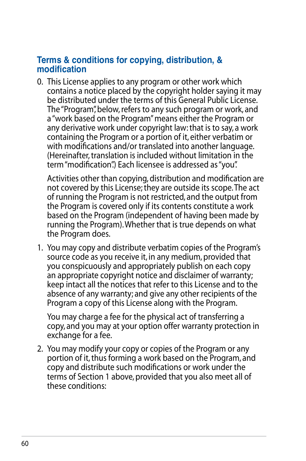### **Terms & conditions for copying, distribution, & modification**

0. This License applies to any program or other work which contains a notice placed by the copyright holder saying it may be distributed under the terms of this General Public License. The "Program", below, refers to any such program or work, and a "work based on the Program" means either the Program or any derivative work under copyright law: that is to say, a work containing the Program or a portion of it, either verbatim or with modifications and/or translated into another language. (Hereinafter, translation is included without limitation in the term "modification".) Each licensee is addressed as "you".

Activities other than copying, distribution and modification are not covered by this License; they are outside its scope. The act of running the Program is not restricted, and the output from the Program is covered only if its contents constitute a work based on the Program (independent of having been made by running the Program). Whether that is true depends on what the Program does.

1. You may copy and distribute verbatim copies of the Program's source code as you receive it, in any medium, provided that you conspicuously and appropriately publish on each copy an appropriate copyright notice and disclaimer of warranty; keep intact all the notices that refer to this License and to the absence of any warranty; and give any other recipients of the Program a copy of this License along with the Program.

You may charge a fee for the physical act of transferring a copy, and you may at your option offer warranty protection in exchange for a fee.

2. You may modify your copy or copies of the Program or any portion of it, thus forming a work based on the Program, and copy and distribute such modifications or work under the terms of Section 1 above, provided that you also meet all of these conditions: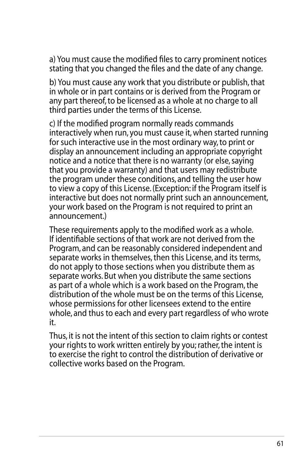a) You must cause the modified files to carry prominent notices stating that you changed the files and the date of any change.

b) You must cause any work that you distribute or publish, that in whole or in part contains or is derived from the Program or any part thereof, to be licensed as a whole at no charge to all third parties under the terms of this License.

c) If the modified program normally reads commands interactively when run, you must cause it, when started running for such interactive use in the most ordinary way, to print or display an announcement including an appropriate copyright notice and a notice that there is no warranty (or else, saying that you provide a warranty) and that users may redistribute the program under these conditions, and telling the user how to view a copy of this License. (Exception: if the Program itself is interactive but does not normally print such an announcement, your work based on the Program is not required to print an announcement.)

These requirements apply to the modified work as a whole. If identifiable sections of that work are not derived from the Program, and can be reasonably considered independent and separate works in themselves, then this License, and its terms, do not apply to those sections when you distribute them as separate works. But when you distribute the same sections as part of a whole which is a work based on the Program, the distribution of the whole must be on the terms of this License, whose permissions for other licensees extend to the entire whole, and thus to each and every part regardless of who wrote it.

Thus, it is not the intent of this section to claim rights or contest your rights to work written entirely by you; rather, the intent is to exercise the right to control the distribution of derivative or collective works based on the Program.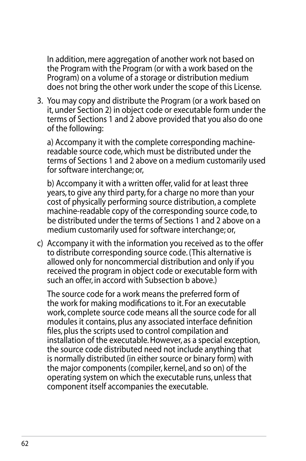In addition, mere aggregation of another work not based on the Program with the Program (or with a work based on the Program) on a volume of a storage or distribution medium does not bring the other work under the scope of this License.

3. You may copy and distribute the Program (or a work based on it, under Section 2) in object code or executable form under the terms of Sections 1 and 2 above provided that you also do one of the following:

a) Accompany it with the complete corresponding machinereadable source code, which must be distributed under the terms of Sections 1 and 2 above on a medium customarily used for software interchange; or,

b) Accompany it with a written offer, valid for at least three years, to give any third party, for a charge no more than your cost of physically performing source distribution, a complete machine-readable copy of the corresponding source code, to be distributed under the terms of Sections 1 and 2 above on a medium customarily used for software interchange; or,

c) Accompany it with the information you received as to the offer to distribute corresponding source code. (This alternative is allowed only for noncommercial distribution and only if you received the program in object code or executable form with such an offer, in accord with Subsection b above.)

The source code for a work means the preferred form of the work for making modifications to it. For an executable work, complete source code means all the source code for all modules it contains, plus any associated interface definition files, plus the scripts used to control compilation and installation of the executable. However, as a special exception, the source code distributed need not include anything that is normally distributed (in either source or binary form) with the major components (compiler, kernel, and so on) of the operating system on which the executable runs, unless that component itself accompanies the executable.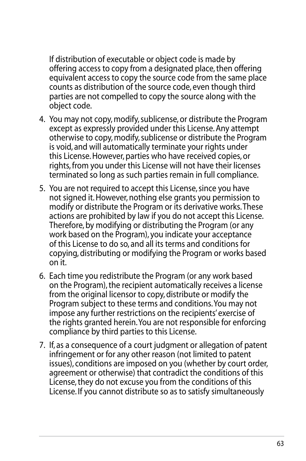If distribution of executable or object code is made by offering access to copy from a designated place, then offering equivalent access to copy the source code from the same place counts as distribution of the source code, even though third parties are not compelled to copy the source along with the object code.

- 4. You may not copy, modify, sublicense, or distribute the Program except as expressly provided under this License. Any attempt otherwise to copy, modify, sublicense or distribute the Program is void, and will automatically terminate your rights under this License. However, parties who have received copies, or rights, from you under this License will not have their licenses terminated so long as such parties remain in full compliance.
- 5. You are not required to accept this License, since you have not signed it. However, nothing else grants you permission to modify or distribute the Program or its derivative works. These actions are prohibited by law if you do not accept this License. Therefore, by modifying or distributing the Program (or any work based on the Program), you indicate your acceptance of this License to do so, and all its terms and conditions for copying, distributing or modifying the Program or works based on it.
- 6. Each time you redistribute the Program (or any work based on the Program), the recipient automatically receives a license from the original licensor to copy, distribute or modify the Program subject to these terms and conditions. You may not impose any further restrictions on the recipients' exercise of the rights granted herein. You are not responsible for enforcing compliance by third parties to this License.
- 7. If, as a consequence of a court judgment or allegation of patent infringement or for any other reason (not limited to patent issues), conditions are imposed on you (whether by court order, agreement or otherwise) that contradict the conditions of this License, they do not excuse you from the conditions of this License. If you cannot distribute so as to satisfy simultaneously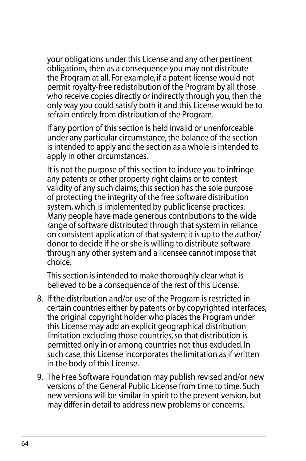your obligations under this License and any other pertinent obligations, then as a consequence you may not distribute the Program at all. For example, if a patent license would not permit royalty-free redistribution of the Program by all those who receive copies directly or indirectly through you, then the only way you could satisfy both it and this License would be to refrain entirely from distribution of the Program.

If any portion of this section is held invalid or unenforceable under any particular circumstance, the balance of the section is intended to apply and the section as a whole is intended to apply in other circumstances.

It is not the purpose of this section to induce you to infringe any patents or other property right claims or to contest validity of any such claims; this section has the sole purpose of protecting the integrity of the free software distribution system, which is implemented by public license practices. Many people have made generous contributions to the wide range of software distributed through that system in reliance on consistent application of that system; it is up to the author/ donor to decide if he or she is willing to distribute software through any other system and a licensee cannot impose that choice.

This section is intended to make thoroughly clear what is believed to be a consequence of the rest of this License.

- 8. If the distribution and/or use of the Program is restricted in certain countries either by patents or by copyrighted interfaces, the original copyright holder who places the Program under this License may add an explicit geographical distribution limitation excluding those countries, so that distribution is permitted only in or among countries not thus excluded. In such case, this License incorporates the limitation as if written in the body of this License.
- 9. The Free Software Foundation may publish revised and/or new versions of the General Public License from time to time. Such new versions will be similar in spirit to the present version, but may differ in detail to address new problems or concerns.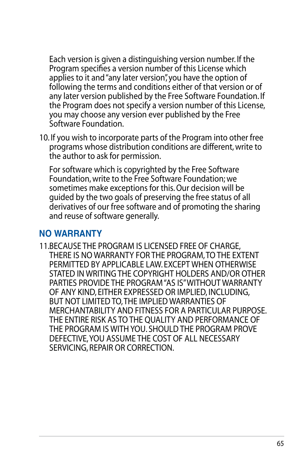Each version is given a distinguishing version number. If the Program specifies a version number of this License which applies to it and "any later version", you have the option of following the terms and conditions either of that version or of any later version published by the Free Software Foundation. If the Program does not specify a version number of this License, you may choose any version ever published by the Free Software Foundation.

10. If you wish to incorporate parts of the Program into other free programs whose distribution conditions are different, write to the author to ask for permission.

For software which is copyrighted by the Free Software Foundation, write to the Free Software Foundation; we sometimes make exceptions for this. Our decision will be guided by the two goals of preserving the free status of all derivatives of our free software and of promoting the sharing and reuse of software generally.

## **NO WARRANTY**

11.BECAUSE THE PROGRAM IS LICENSED FREE OF CHARGE, THERE IS NO WARRANTY FOR THE PROGRAM, TO THE EXTENT PERMITTED BY APPLICABLE LAW. EXCEPT WHEN OTHERWISE STATED IN WRITING THE COPYRIGHT HOLDERS AND/OR OTHER PARTIES PROVIDE THE PROGRAM "AS IS" WITHOUT WARRANTY OF ANY KIND, EITHER EXPRESSED OR IMPLIED, INCLUDING, BUT NOT LIMITED TO, THE IMPLIED WARRANTIES OF MERCHANTABILITY AND FITNESS FOR A PARTICULAR PURPOSE. THE ENTIRE RISK AS TO THE QUALITY AND PERFORMANCE OF THE PROGRAM IS WITH YOU. SHOULD THE PROGRAM PROVE DEFECTIVE, YOU ASSUME THE COST OF ALL NECESSARY SERVICING, REPAIR OR CORRECTION.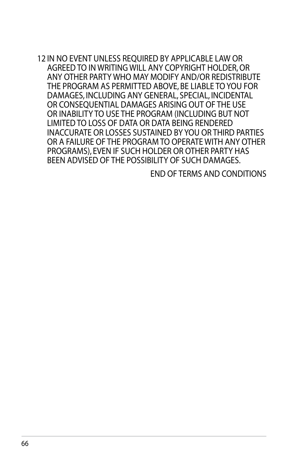12 IN NO EVENT UNLESS REQUIRED BY APPLICABLE LAW OR AGREED TO IN WRITING WILL ANY COPYRIGHT HOLDER, OR ANY OTHER PARTY WHO MAY MODIFY AND/OR REDISTRIBUTE THE PROGRAM AS PERMITTED ABOVE, BE LIABLE TO YOU FOR DAMAGES, INCLUDING ANY GENERAL, SPECIAL, INCIDENTAL OR CONSEQUENTIAL DAMAGES ARISING OUT OF THE USE OR INABILITY TO USE THE PROGRAM (INCLUDING BUT NOT LIMITED TO LOSS OF DATA OR DATA BEING RENDERED INACCURATE OR LOSSES SUSTAINED BY YOU OR THIRD PARTIES OR A FAILURE OF THE PROGRAM TO OPERATE WITH ANY OTHER PROGRAMS), EVEN IF SUCH HOLDER OR OTHER PARTY HAS BEEN ADVISED OF THE POSSIBILITY OF SUCH DAMAGES.

END OF TERMS AND CONDITIONS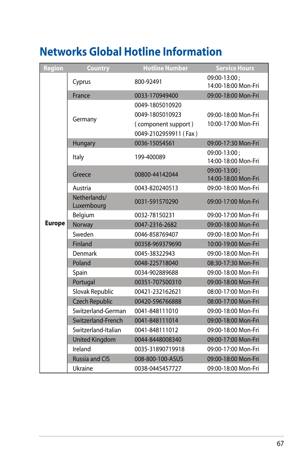# <span id="page-66-0"></span>**Networks Global Hotline Information**

| Region        | <b>Country</b>             | <b>Hotline Number</b>                                                              | <b>Service Hours</b>                       |
|---------------|----------------------------|------------------------------------------------------------------------------------|--------------------------------------------|
|               | Cyprus                     | 800-92491                                                                          | 09:00-13:00;<br>14:00-18:00 Mon-Fri        |
|               | France                     | 0033-170949400                                                                     | 09:00-18:00 Mon-Fri                        |
|               | Germany                    | 0049-1805010920<br>0049-1805010923<br>(component support)<br>0049-2102959911 (Fax) | 09:00-18:00 Mon-Fri<br>10:00-17:00 Mon-Fri |
|               | Hungary                    | 0036-15054561                                                                      | 09:00-17:30 Mon-Fri                        |
|               | Italy                      | 199-400089                                                                         | 09:00-13:00;<br>14:00-18:00 Mon-Fri        |
|               | Greece                     | 00800-44142044                                                                     | 09:00-13:00;<br>14:00-18:00 Mon-Fri        |
|               | Austria                    | 0043-820240513                                                                     | 09:00-18:00 Mon-Fri                        |
|               | Netherlands/<br>Luxembourg | 0031-591570290                                                                     | 09:00-17:00 Mon-Fri                        |
|               | Belgium                    | 0032-78150231                                                                      | 09:00-17:00 Mon-Fri                        |
| <b>Europe</b> | Norway                     | 0047-2316-2682                                                                     | 09:00-18:00 Mon-Fri                        |
|               | Sweden                     | 0046-858769407                                                                     | 09:00-18:00 Mon-Fri                        |
|               | Finland                    | 00358-969379690                                                                    | 10:00-19:00 Mon-Fri                        |
|               | Denmark                    | 0045-38322943                                                                      | 09:00-18:00 Mon-Fri                        |
|               | Poland                     | 0048-225718040                                                                     | 08:30-17:30 Mon-Fri                        |
|               | Spain                      | 0034-902889688                                                                     | 09:00-18:00 Mon-Fri                        |
|               | Portugal                   | 00351-707500310                                                                    | 09:00-18:00 Mon-Fri                        |
|               | Slovak Republic            | 00421-232162621                                                                    | 08:00-17:00 Mon-Fri                        |
|               | <b>Czech Republic</b>      | 00420-596766888                                                                    | 08:00-17:00 Mon-Fri                        |
|               | Switzerland-German         | 0041-848111010                                                                     | 09:00-18:00 Mon-Fri                        |
|               | Switzerland-French         | 0041-848111014                                                                     | 09:00-18:00 Mon-Fri                        |
|               | Switzerland-Italian        | 0041-848111012                                                                     | 09:00-18:00 Mon-Fri                        |
|               | <b>United Kingdom</b>      | 0044-8448008340                                                                    | 09:00-17:00 Mon-Fri                        |
|               | Ireland                    | 0035-31890719918                                                                   | 09:00-17:00 Mon-Fri                        |
|               | <b>Russia and CIS</b>      | 008-800-100-ASUS                                                                   | 09:00-18:00 Mon-Fri                        |
|               | Ukraine                    | 0038-0445457727                                                                    | 09:00-18:00 Mon-Fri                        |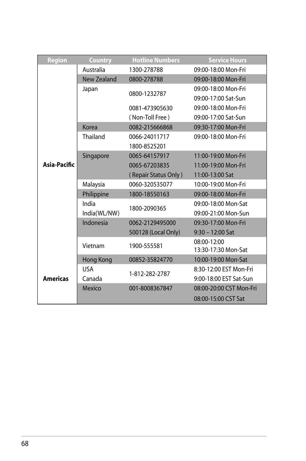| Region          | <b>Country</b> | <b>Hotline Numbers</b> | <b>Service Hours</b>    |
|-----------------|----------------|------------------------|-------------------------|
|                 | Australia      | 1300-278788            | 09:00-18:00 Mon-Fri     |
|                 | New Zealand    | 0800-278788            | 09:00-18:00 Mon-Fri     |
|                 | Japan          | 0800-1232787           | 09:00-18:00 Mon-Fri     |
|                 |                |                        | 09:00-17:00 Sat-Sun     |
|                 |                | 0081-473905630         | 09:00-18:00 Mon-Fri     |
|                 |                | (Non-Toll Free)        | 09:00-17:00 Sat-Sun     |
|                 | Korea          | 0082-215666868         | 09:30-17:00 Mon-Fri     |
|                 | Thailand       | 0066-24011717          | 09:00-18:00 Mon-Fri     |
|                 |                | 1800-8525201           |                         |
|                 | Singapore      | 0065-64157917          | 11:00-19:00 Mon-Fri     |
| Asia-Pacific    |                | 0065-67203835          | 11:00-19:00 Mon-Fri     |
|                 |                | (Repair Status Only)   | 11:00-13:00 Sat         |
|                 | Malaysia       | 0060-320535077         | 10:00-19:00 Mon-Fri     |
|                 | Philippine     | 1800-18550163          | 09:00-18:00 Mon-Fri     |
|                 | India          | 1800-2090365           | 09:00-18:00 Mon-Sat     |
|                 | India(WL/NW)   |                        | 09:00-21:00 Mon-Sun     |
|                 | Indonesia      | 0062-2129495000        | 09:30-17:00 Mon-Fri     |
|                 |                | 500128 (Local Only)    | $9:30 - 12:00$ Sat      |
|                 | Vietnam        | 1900-555581            | 08:00-12:00             |
|                 |                |                        | 13:30-17:30 Mon-Sat     |
|                 | Hong Kong      | 00852-35824770         | 10:00-19:00 Mon-Sat     |
|                 | <b>USA</b>     | 1-812-282-2787         | 8:30-12:00 EST Mon-Fri  |
| <b>Americas</b> | Canada         |                        | 9:00-18:00 EST Sat-Sun  |
|                 | Mexico         | 001-8008367847         | 08:00-20:00 CST Mon-Fri |
|                 |                |                        | 08:00-15:00 CST Sat     |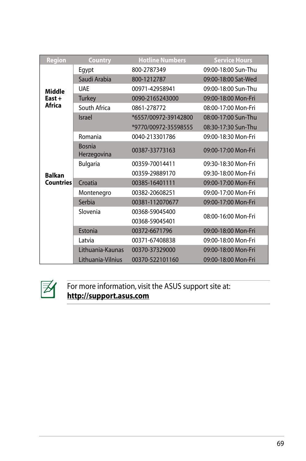| <b>Region</b>    | Country                      | <b>Hotline Numbers</b> | <b>Service Hours</b> |
|------------------|------------------------------|------------------------|----------------------|
|                  | Egypt                        | 800-2787349            | 09:00-18:00 Sun-Thu  |
|                  | Saudi Arabia                 | 800-1212787            | 09:00-18:00 Sat-Wed  |
| Middle           | <b>UAE</b>                   | 00971-42958941         | 09:00-18:00 Sun-Thu  |
| East+            | <b>Turkey</b>                | 0090-2165243000        | 09:00-18:00 Mon-Fri  |
| Africa           | South Africa                 | 0861-278772            | 08:00-17:00 Mon-Fri  |
|                  | <b>Israel</b>                | *6557/00972-39142800   | 08:00-17:00 Sun-Thu  |
|                  |                              | *9770/00972-35598555   | 08:30-17:30 Sun-Thu  |
|                  | Romania                      | 0040-213301786         | 09:00-18:30 Mon-Fri  |
|                  | <b>Bosnia</b><br>Herzegovina | 00387-33773163         | 09:00-17:00 Mon-Fri  |
|                  | <b>Bulgaria</b>              | 00359-70014411         | 09:30-18:30 Mon-Fri  |
| <b>Balkan</b>    |                              | 00359-29889170         | 09:30-18:00 Mon-Fri  |
| <b>Countries</b> | Croatia                      | 00385-16401111         | 09:00-17:00 Mon-Fri  |
|                  | Montenegro                   | 00382-20608251         | 09:00-17:00 Mon-Fri  |
|                  | Serbia                       | 00381-112070677        | 09:00-17:00 Mon-Fri  |
|                  | Slovenia                     | 00368-59045400         | 08:00-16:00 Mon-Fri  |
|                  |                              | 00368-59045401         |                      |
|                  | Estonia                      | 00372-6671796          | 09:00-18:00 Mon-Fri  |
|                  | Latvia                       | 00371-67408838         | 09:00-18:00 Mon-Fri  |
|                  | Lithuania-Kaunas             | 00370-37329000         | 09:00-18:00 Mon-Fri  |
|                  | Lithuania-Vilnius            | 00370-522101160        | 09:00-18:00 Mon-Fri  |



For more information, visit the ASUS support site at: **http://support.asus.com**